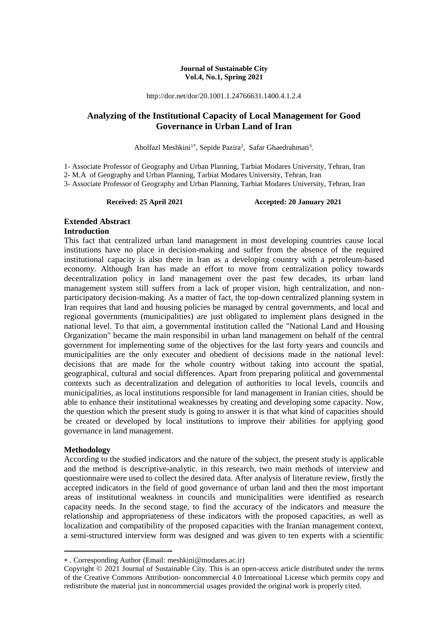#### **Journal of Sustainable City Vol.4, No.1, Spring 2021**

http://dor.net/dor/20.1001.1.24766631.1400.4.1.2.4

# **Analyzing of the Institutional Capacity of Local Management for Good Governance in Urban Land of Iran**

Abolfazl Meshkini<sup>1\*</sup>, Sepide Pazira<sup>2</sup>, Safar Ghaedrahmati<sup>3</sup>.

1- Associate Professor of Geography and Urban Planning, Tarbiat Modares University, Tehran, Iran

2- M.A of Geography and Urban Planning, Tarbiat Modares University, Tehran, Iran

3- Associate Professor of Geography and Urban Planning, Tarbiat Modares University, Tehran, Iran

**Received: 25 April 2021 Accepted: 20 January 2021**

# **Extended Abstract**

### **Introduction**

This fact that centralized urban land management in most developing countries cause local institutions have no place in decision-making and suffer from the absence of the required institutional capacity is also there in Iran as a developing country with a petroleum-based economy. Although Iran has made an effort to move from centralization policy towards decentralization policy in land management over the past few decades, its urban land management system still suffers from a lack of proper vision, high centralization, and nonparticipatory decision-making. As a matter of fact, the top-down centralized planning system in Iran requires that land and housing policies be managed by central governments, and local and regional governments (municipalities) are just obligated to implement plans designed in the national level. To that aim, a governmental institution called the "National Land and Housing Organization" became the main responsibil in urban land management on behalf of the central government for implementing some of the objectives for the last forty years and councils and municipalities are the only executer and obedient of decisions made in the national level: decisions that are made for the whole country without taking into account the spatial, geographical, cultural and social differences. Apart from preparing political and governmental contexts such as decentralization and delegation of authorities to local levels, councils and municipalities, as local institutions responsible for land management in Iranian cities, should be able to enhance their institutional weaknesses by creating and developing some capacity. Now, the question which the present study is going to answer it is that what kind of capacities should be created or developed by local institutions to improve their abilities for applying good governance in land management.

#### **Methodology**

**.** 

According to the studied indicators and the nature of the subject, the present study is applicable and the method is descriptive-analytic. in this research, two main methods of interview and questionnaire were used to collect the desired data. After analysis of literature review, firstly the accepted indicators in the field of good governance of urban land and then the most important areas of institutional weakness in councils and municipalities were identified as research capacity needs. In the second stage, to find the accuracy of the indicators and measure the relationship and appropriateness of these indicators with the proposed capacities, as well as localization and compatibility of the proposed capacities with the Iranian management context, a semi-structured interview form was designed and was given to ten experts with a scientific

. Corresponding Author (Email: meshkini@modares.ac.ir)

Copyright © 2021 Journal of Sustainable City. This is an open-access article distributed under the terms of the Creative Commons Attribution- noncommercial 4.0 International License which permits copy and redistribute the material just in noncommercial usages provided the original work is properly cited.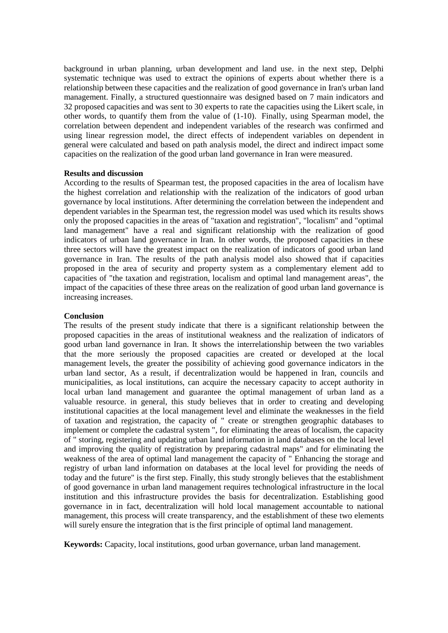background in urban planning, urban development and land use. in the next step, Delphi systematic technique was used to extract the opinions of experts about whether there is a relationship between these capacities and the realization of good governance in Iran's urban land management. Finally, a structured questionnaire was designed based on 7 main indicators and 32 proposed capacities and was sent to 30 experts to rate the capacities using the Likert scale, in other words, to quantify them from the value of (1-10). Finally, using Spearman model, the correlation between dependent and independent variables of the research was confirmed and using linear regression model, the direct effects of independent variables on dependent in general were calculated and based on path analysis model, the direct and indirect impact some capacities on the realization of the good urban land governance in Iran were measured.

#### **Results and discussion**

According to the results of Spearman test, the proposed capacities in the area of localism have the highest correlation and relationship with the realization of the indicators of good urban governance by local institutions. After determining the correlation between the independent and dependent variables in the Spearman test, the regression model was used which its results shows only the proposed capacities in the areas of "taxation and registration", "localism" and "optimal land management" have a real and significant relationship with the realization of good indicators of urban land governance in Iran. In other words, the proposed capacities in these three sectors will have the greatest impact on the realization of indicators of good urban land governance in Iran. The results of the path analysis model also showed that if capacities proposed in the area of security and property system as a complementary element add to capacities of "the taxation and registration, localism and optimal land management areas", the impact of the capacities of these three areas on the realization of good urban land governance is increasing increases.

#### **Conclusion**

The results of the present study indicate that there is a significant relationship between the proposed capacities in the areas of institutional weakness and the realization of indicators of good urban land governance in Iran. It shows the interrelationship between the two variables that the more seriously the proposed capacities are created or developed at the local management levels, the greater the possibility of achieving good governance indicators in the urban land sector, As a result, if decentralization would be happened in Iran, councils and municipalities, as local institutions, can acquire the necessary capacity to accept authority in local urban land management and guarantee the optimal management of urban land as a valuable resource. in general, this study believes that in order to creating and developing institutional capacities at the local management level and eliminate the weaknesses in the field of taxation and registration, the capacity of " create or strengthen geographic databases to implement or complete the cadastral system ", for eliminating the areas of localism, the capacity of " storing, registering and updating urban land information in land databases on the local level and improving the quality of registration by preparing cadastral maps" and for eliminating the weakness of the area of optimal land management the capacity of " Enhancing the storage and registry of urban land information on databases at the local level for providing the needs of today and the future" is the first step. Finally, this study strongly believes that the establishment of good governance in urban land management requires technological infrastructure in the local institution and this infrastructure provides the basis for decentralization. Establishing good governance in in fact, decentralization will hold local management accountable to national management, this process will create transparency, and the establishment of these two elements will surely ensure the integration that is the first principle of optimal land management.

**Keywords:** Capacity, local institutions, good urban governance, urban land management.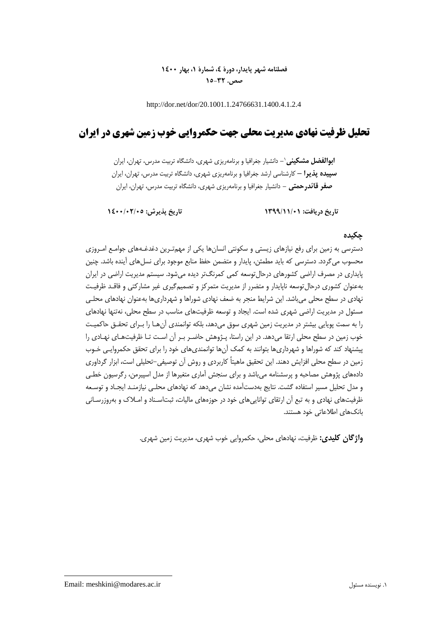# **فصلنامه شهر پایدار، دورۀ ،4 شمارۀ ،1 بهار 1400 صص. 15-32**

http://dor.net/dor/20.1001.1.24766631.1400.4.1.2.4

# **تحلیل ظرفیت نهادی مدیریت محلی جهت حکمروایی خوب زمین شهری در ایران**

**-** دانشیار جغرافیا و برنامهریزی شهری، دانشگاه تربیت مدرس، تهران، ایران <sup>1</sup> **ابوالفضل مشکینی سپیده پذیرا –** کارشناسی ارشد جغرافیا و برنامهریزی شهری، دانشگاه تربیت مدرس، تهران، ایران **صفر قائدرحمتی -** دانشیار جغرافیا و برنامهریزی شهری، دانشگاه تربیت مدرس، تهران، ایران

**تاریخ دریافت: 1399/11/01 تاریخ پذیرش: 1400/02/05**

# **چکیده**

دسترسی به زمین برای رفع نیازهای زیستی و سکونتی انسانها یکی از مهمتـرین دغدغـههای جوامـع امـروزی محسوب میگردد. دسترسی که باید مطمئن، پایدار و متضمن حفظ منابع موجود برای نسلهای آینده باشد. چنین پایداری در مصرف اراضی کشورهای درحالتوسعه کمی کمرنگتر دیده میشود. سیستم مدیریت اراضی در ایران بهعنوان کشوری درحالتوسعه ناپایدار و متضرر از مدیریت متمرکز و تصمیمگیری ریر مشارکتی و فاقـد ظرفیـت نهادی در سطح محلی میباشد. این شرایط منجر به ضعف نهادی شوراها و شهرداریها بهعنوان نهادهای محلـی مسئول در مدیریت اراضی شهری شده است. ایجاد و توسعه ظرفیتهای مناسب در سطح محلی، نهتنها نهادهای را به سمت پویایی بیشتر در مدیریت زمین شهری سوق میدهد، بلکه توانمندی آنهـا را بـرای تحقـق حاکمیـت خوب زمین در سطح محلی ارتقا میدهد. در این راستا، پـژوهش حاضـر بـر آن اسـت تـا ظرفیتهـای نهـادی را پیشنهاد کند که شوراها و شهرداریها بتوانند به کمک آنها توانمندیهای خود را برای تحقق حکمروایـی خـوب زمین در سطح محلی افزایش دهند. این تحقیق ماهیتاً کاربردی و روش آن توصیفی-تحلیلی است، ابزار گرداوری دادههای پژوهش مصاحبه و پرسشنامه میباشد و برای سنجش آماری متغیرها از مدل اسپیرمن، رگرسیون خطـی و مدل تحلیل مسیر استفاده گشت. نتایج بهدستآمده نشان میدهد که نهادهای محلـی نیازمنـد ایجـاد و توسـعه ظرفیتهای نهادی و به تبع آن ارتقای تواناییهای خود در حوزههای مالیات، ثبتاسـناد و امـالك و بهروزرسـانی بانکهای اطالعاتی خود هستند.

**واژگان کلیدی:** ظرفیت، نهادهای محلی، حکمروایی خوب شهری، مدیریت زمین شهری.

Email: meshkini@modares.ac.ir مسئول نویسنده .1

**.**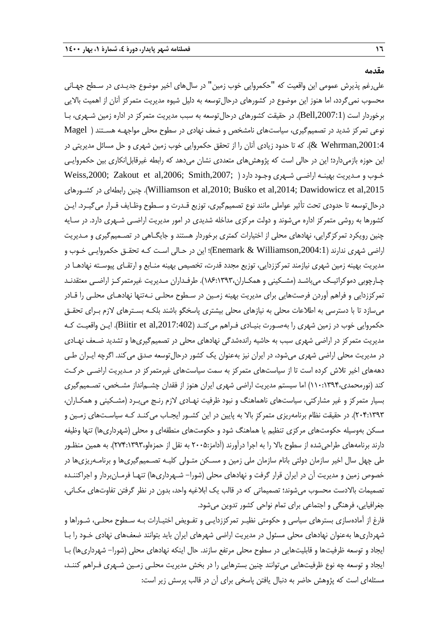**مقدمه**

علیرغم پذیرش عمومی این واقعیت که "حکمروایی خوب زمین" در سال۱مای اخیر موضوع جدیـدی در سـطح جهـانی محسوب نمیگردد، اما هنوز این موضوع در کشورهای درحالتوسعه به دلیل شیوه مدیریت متمرکز آنان از اهمیت باالیی برخوردار است (Bell,2007:1). در حقیقت کشورهای درحال توسعه به سبب مدیریت متمرکز در اداره زمین شـهری، بـا نوعی تمرکز شدید در تصمیمگیری، سیاستهای نامشخص و ضعف نهادی در سطوح محلی مواجهـه هسـتند ) Magel ,2001:4Wehrman)& . که تا حدود زیادی آنان را از تحقق حکمروایی خوب زمین شهری و حل مسائل مدیریتی در این حوزه بازمیدارد؛ این در حالی است که پژوهشهای متعددی نشان میدهد که رابطه غیرقابلانکاری بین حکمروایـی خـوب و مـدیریت بهینـه اراضـی شـهری وجـود دارد ( ;Weiss,2000 Xweiss,2000 و كليس بهینـه اراضـی شـهری وجـود دارد کشـورهای در رابطهای چنین .(Williamson et al,2010; Buśko et al,2014; Dawidowicz et al,2015 درحالتوسعه تا حدودی تحت تأثیر عواملی مانند نوع تصمیمگیری، توزیع قـدرت و سـطوح وظـایف قـرار میگیـرد. ایـن کشورها به روشی متمرکز اداره میشوند و دولت مرکزی مداخله شدیدی در امور مدیریت اراضـی شـهری دارد. در سـایه چنین رویکرد تمرکزگرایی، نهادهای محلی از اختیارات کمتری برخوردار هستند و جایگـاهی در تصـمیمگیری و مـدیریت اراضی شهری ندارند ),2004:1Williamson & Enemark)؛ این در حـالی اسـت کـه تحقـق حکمروایـی خـوب و مدیریت بهینه زمین شهری نیازمند تمرکززدایی، توزیع مجدد قدرت، تخصیص بهینه منـابع و ارتقـای پیوسـته نهادهـا در چـارچوبی دموکراتیـک میباشـد (مشـکینی و همکـاران،۱۳۹۳:۱۸۶). طرفـداران مـدیریت غیرمتمرکـز اراضـی معتقدنـد تمرکززدایی و فراهم آوردن فرصتهایی برای مدیریت بهینه زمـین در سـطوح محلـی نـهتنها نهادهـای محلـی را قـادر میسازد تا با دسترسی به اطالعات محلی به نیازهای محلی بیشتری پاسخگو باشند بلکـه بسـترهای الزم بـرای تحقـق حکمروایی خوب در زمین شهری را بهصـورت بنیـادی فـراهم میکنـد ),2017:402al et Biitir). ایـن واقعیـت کـه مدیریت متمرکز در اراضی شهری سبب به حاشیه راندهشدگی نهادهای محلی در تصمیمگیریها و تشدید ضـعف نهـادی در مدیریت محلی اراضی شهری میشود، در ایران نیز بهعنوان یک کشور درحالتوسعه صدق میکند. اگرچه ایـران طـی دهههای اخیر تلاش کرده است تا از سیاستهای متمرکز به سمت سیاستهای غیرمتمرکز در مـدیریت اراضـی حرکـت کند )نورمحمدی110:1394،( اما سیستم مدیریت اراضی شهری ایران هنوز از فقدان چشـمانداز مشـخص، تصـمیمگیری بسیار متمرکز و غیر مشارکتی، سیاستهای ناهماهنگ و نبود ظرفیت نهـادی لازم رنـج می1بـرد (مشـکینی و همکـاران، 204:1393(. در حقیقت نظام برنامهریزی متمرکزِ باال به پایین در این کشـور ایجـاب میکنـد کـه سیاسـتهای زمـین و مسکن بهوسیله حکومتهای مرکزی تنظیم یا هماهنگ شود و حکومتهای منطقهای و محلی )شهرداریها( تنها وظیفه دارند برنامههای طراحیشده از سطوح بالا را به اجرا درآورند (آدامز:۲۰۰۵ به نقل از حمزهلو،۲۳۹۳:۱۳۹۳). به همین منظـور طی چهل سال اخیر سازمان دولتی بانام سازمان ملی زمین و مسـکن متـولی کلیـه تصـمیمگیریها و برنامـهریزیها در خصوص زمین و مدیریت آن در ایران قرار گرفت و نهادهای محلی (شورا– شـهرداریها) تنهـا فرمـانبردار و اجراکننـده تصمیمات باالدست محسوب میشوند؛ تصمیماتی که در قالب یک ابالریه واحد، بدون در نظر گرفتن تفاوتهای مکـانی، جغرافیایی، فرهنگی و اجتماعی برای تمام نواحی کشور تدوین میشود.

فارف از آمادهسازی بسترهای سیاسی و حکومتی نظیـر تمرکززدایـی و تفـویض اختیـارات بـه سـطوح محلـی، شـوراها و شهرداریها بهعنوان نهادهای محلی مسئول در مدیریت اراضی شهرهای ایران باید بتوانند ضعفهای نهادی خـود را بـا ایجاد و توسعه ظرفیتها و قابلیتهایی در سطوح محلی مرتفع سازند. حال اینکه نهادهای محلی )شورا- شهرداریها( بـا ایجاد و توسعه چه نوع ظرفیتهایی میتوانند چنین بسترهایی را در بخش مدیریت محلـی زمـین شـهری فـراهم کننـد، مسئلهای است که پژوهش حاضر به دنبال یافتن پاسخی برای آن در قالب پرسش زیر است: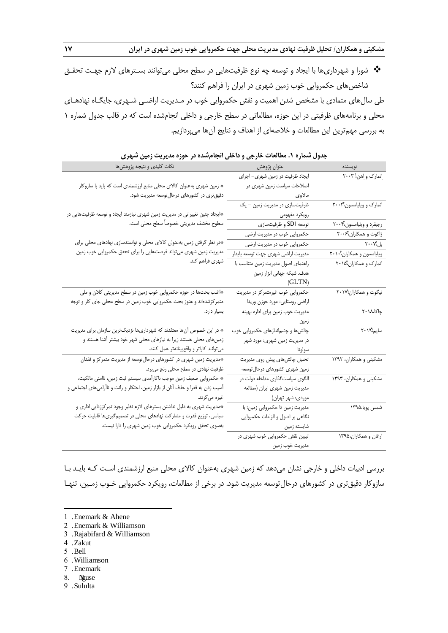شورا و شهرداریها با ایجاد و توسعه چه نوع ظرفیتهایی در سطح محلی میتوانند بسـترهای الزم جهـت تحقـق شاخصهای حکمروایی خوب زمین شهری در ایران را فراهم کنند؟

طی سالهای متمادی با مشخص شدن اهمیت و نقش حکمروایی خوب در مـدیریت اراضـی شـهری، جایگـاه نهادهـای محلی و برنامههای ظرفیتی در این حوزه، مطالعاتی در سطح خارجی و داخلی انجامشده است که در قالب جدول شماره 1 به بررسی مهمترین این مطالعات و خالصهای از اهداف و نتایج آنها میپردازیم.

| جدون سماره ۰.۱ سامات خارجی و داختی انجام سده در خوره مدیریت رمین سهری           |                                          |                                                                      |
|---------------------------------------------------------------------------------|------------------------------------------|----------------------------------------------------------------------|
| نكات كليدى و نتيجه پژوهشها                                                      | عنوان پژوهش                              | نويسنده                                                              |
|                                                                                 | ایجاد ظرفیت در زمین شهری- اجرای          | إنمارك وإهن ٢٠٠٣                                                     |
| * زمین شهری بهعنوان کالای محلی منابع ارزشمندی است که باید با سازوکار            | اصلاحات سیاست زمین شهری در               |                                                                      |
| دقیقتری در کشورهای درحال توسعه مدیریت شود.                                      | مالاو <i>ی</i> (میلادی) می است.<br>منابع |                                                                      |
|                                                                                 | ظرفیتسازی در مدیریت زمین – یک            | انمارک و ویلیامسون،۲۰۰۴                                              |
| *ایجاد چنین تغییراتی در مدیریت زمین شهری نیازمند ایجاد و توسعه ظرفیتهایی در     | رویکرد مفهومی میسمیست                    |                                                                      |
| سطوح مختلف مديريتي خصوصاً سطح محلي است.                                         | توسعه SDI و ظرفیتسازی                    | رجبفرد و ویلیامسون،۲۰۰۴                                              |
|                                                                                 | حکمروایی خوب در مدیریت ارضی              | زاکوت و همکاران،ٔ۲۰۰۶                                                |
| *در نظر گرفتن زمین بهعنوان کالای محلی و توانمندسازی نهادهای محلی برای           | حکمروایی خوب در مدیریت ارضی              | $\mathsf{Y} \boldsymbol{\cdot} \boldsymbol{\cdot} \mathsf{Y}$ بل     |
| مدیریت زمین شهری میتواند فرصتهایی را برای تحقق حکمروایی خوب زمین                | مديريت اراضي شهري جهت توسعه پايدار       | ویلیامسون و همکاران،۲۰۱۰                                             |
| شهری فراهم کند.                                                                 | راهنمای اصول مدیریت زمین متناسب با       | انمارک و همکاران،۱۵٬                                                 |
|                                                                                 | هدف. شبکه جهانی ابزار زمین               |                                                                      |
|                                                                                 | (GLTN)                                   |                                                                      |
| *اغلب بحثها در حوزه حکمروایی خوب زمین در سطح مدیریتی کلان و ملی                 | حکمروایی خوب غیرمتمرکز در مدیریت         | نیگوث و همکاران ۲۰۱۷                                                 |
| متمرکزشدهاند و هنوز بحث حکمروایی خوب زمین در سطح محلی جای کار و توجه            | اراضي روستايي: مورد حوزن وريدا           |                                                                      |
| بسیار دارد.                                                                     | مدیریت خوب زمین برای اداره بهینه         | چاکا،۱۸ ۲۰                                                           |
|                                                                                 | زمین                                     |                                                                      |
| * در این خصوص آنها معتقدند که شهرداریها نزدیکترین سازمان برای مدیریت            | چالشها و چشم ندازهای حکمروایی خوب        | $\overline{Y\cdot \frac{1}{2} \theta_{\text{right}}^{\text{a}}$ سایم |
| زمینهای محلی هستند زیرا به نیازهای محلی شهر خود بیشتر آشنا هستند و              | در مدیریت زمین شهری: مورد شهر            |                                                                      |
| مى توانند كاراتر و واقع بينانه تر عمل كنند.                                     | سولوتا                                   |                                                                      |
| *مدیریت زمین شهری در کشورهای درحالتوسعه از مدیریت متمرکز و فقدان                | تحلیل چالشهای پیش روی مدیریت             | مشکینی و همکاران، ۱۳۹۲                                               |
| ظرفیت نهادی در سطح محلی رنج میبرد.                                              | زمین شهری کشورهای درحالتوسعه             |                                                                      |
| * حكمروايي ضعيف زمين موجب ناكارأمدي سيستم ثبت زمين، ناامني مالكيت،              | الگوی سیاستگذاری مداخله دولت در          | مشکینی و همکاران، ۱۳۹۳                                               |
| آسیب زدن به فقرا و حذف آنان از بازار زمین، احتکار و رانت و ناآرامیهای اجتماعی و | مديريت زمين شهري ايران (مطالعه           |                                                                      |
| غیرہ میگردد.                                                                    | موردی: شهر تهران)                        |                                                                      |
| *مدیریت شهری به دلیل نداشتن بسترهای لازم نظیر وجود تمرکززدایی اداری و           | مديريت زمين تا حكمروايي زمين؛ با         | شمس پویا،۱۳۹۵                                                        |
| سیاسی، توزیع قدرت و مشارکت نهادهای محلی در تصمیمگیریها قابلیت حرکت              | نگاهی بر اصول و الزامات حکمروایی         |                                                                      |
| بهسوی تحقق رویکرد حکمروایی خوب زمین شهری را دارا نیست.                          | شايسته زمين                              |                                                                      |
|                                                                                 | تبیین نقش حکمروایی خوب شهری در           | ارغان و همكاران،۱۳۹۵                                                 |
|                                                                                 | مديريت خوب زمين                          |                                                                      |

|  |  |  |  |  | جدول شماره ۱. مطالعات خارجی و داخلی انجامشده در حوزه مدیریت زمین شهری |  |
|--|--|--|--|--|-----------------------------------------------------------------------|--|
|--|--|--|--|--|-----------------------------------------------------------------------|--|

بررسی ادبیات داخلی و خارجی نشان میدهد که زمین شهری بهعنوان کاالی محلی منبع ارزشمندی اسـت کـه بایـد بـا سازوکار دقیقتری در کشورهای درحالتوسعه مدیریت شود. در برخی از مطالعات، رویکرد حکمروایی خـوب زمـین، تنهـا

- 3 . Rajabifard & Williamson
- 4 . Zakut
- 5 . Bell

-

- 6 . Williamson
- 7 . Enemark
- 8. Niguse
- 9 . Sululta

<sup>1</sup> . Enemark & Ahene

<sup>2</sup> . Enemark & Williamson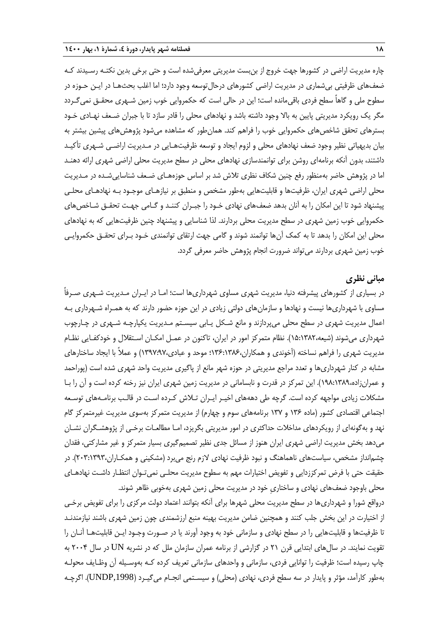چاره مدیریت اراضی در کشورها جهت خروج از بنبست مدیریتی معرفیشده است و حتی برخی بدین نکتـه رسـیدند کـه ضعفهای ظرفیتی بیشماری در مدیریت اراضی کشورهای درحالتوسعه وجود دارد؛ اما اغلب بحثهـا در ایـن حـوزه در سطوح ملی و گاهاً سطح فردی باقیمانده است؛ این در حالی است که حکمروایی خوب زمین شـهری محقـق نمیگـردد مگر یک رویکرد مدیریتی پایین به باال وجود داشته باشد و نهادهای محلی را قادر سازد تا با جبران ضـعف نهـادی خـود بسترهای تحقق شاخصهای حکمروایی خوب را فراهم کند. همانطور که مشاهده میشود پژوهشهای پیشین بیشتر به بیان بدیهیاتی نظیر وجود ضعف نهادهای محلی و لزوم ایجاد و توسعه ظرفیتهـایی در مـدیریت اراضـی شـهری تأکیـد داشتند، بدون آنکه برنامهای روشن برای توانمندسازی نهادهای محلی در سطح مدیریت محلی اراضی شهری ارائه دهنـد اما در پژوهش حاضر بهمنظور رفع چنین شکاف نظری تالش شد بر اساس حوزههـای ضـعف شناساییشـده در مـدیریت محلی اراضی شهری ایران، ظرفیتها و قابلیتهایی بهطور مشخص و منطبق بر نیازهـای موجـود بـه نهادهـای محلـی پیشنهاد شود تا این امکان را به آنان بدهد ضعفهای نهادی خـود را جبـران کننـد و گـامی جهـت تحقـق شـاخصهای حکمروایی خوب زمین شهری در سطح مدیریت محلی بردارند. لذا شناسایی و پیشنهاد چنین ظرفیتهایی که به نهادهای محلی این امکان را بدهد تا به کمک آنها توانمند شوند و گامی جهت ارتقای توانمندی خـود بـرای تحقـق حکمروایـی خوب زمین شهری بردارند میتواند ضرورت انجام پژوهش حاضر معرفی گردد.

# **مبانی نظری**

در بسیاری از کشورهای پیشرفته دنیا، مدیریت شهری مساوی شهرداریها است؛ امـا در ایـران مـدیریت شـهری صـرفاً مساوی با شهرداریها نیست و نهادها و سازمانهای دولتی زیادی در این حوزه حضور دارند که به همـراه شـهرداری بـه اعمال مدیریت شهری در سطح محلی میپردازند و مانع شـکل یـابی سیسـتم مـدیریت یکپارچـه شـهری در چـارچوب شهرداری میشوند )شیعه15:1382،(. نظام متمرکز امور در ایران، تاکنون در عمـل امکـان اسـتقالل و خودکفـایی نظـام مدیریت شهری را فراهم نساخته (آخوندی و همکاران،۱۳۶:۱۳۸۶؛ موحد و عبادی،۱۳۹۷:۹۷) و عملاً با ایجاد ساختارهای مشابه در کنار شهرداریها و تعدد مراجع مدیریتی در حوزه شهر مانع از پاگیری مدیریت واحد شهری شده است )پوراحمد و عمرانزاده198:1389،(. این تمرکز در قدرت و نابسامانی در مدیریت زمین شهری ایران نیز رخنه کرده است و آن را بـا مشکالت زیادی مواجهه کرده است. گرچه طی دهههای اخیـر ایـران تـالش کـرده اسـت در قالـب برنامـههای توسـعه اجتماعی اقتصادی کشور (ماده ۱۳۶ و ۱۳۷ برنامههای سوم و چهارم) از مدیریت متمرکز بهسوی مدیریت غیرمتمرکز گام نهد و بهگونهای از رویکردهای مداخالت حداکثری در امور مدیریتی بگریزد، امـا مطالعـات برخـی از پژوهشـگران نشـان میدهد بخش مدیریت اراضی شهری ایران هنوز از مسائل جدی نظیر تصمیمگیری بسیار متمرکز و ریر مشارکتی، فقدان چشمانداز مشخص، سیاستهای ناهماهنگ و نبود ظرفیت نهادی لازم رنج میبرد (مشکینی و همکـاران،۱۳۹۳:۲۰۳). در حقیقت حتی با فرض تمرکززدایی و تفویض اختیارات مهم به سطوح مدیریت محلـی نمیٍتـوان انتظـار داشـت نهادهـای محلی باوجود ضعفهای نهادی و ساختاریِ خود در مدیریت محلی زمین شهری بهخوبی ظاهر شوند.

درواقع شورا و شهرداریها در سطح مدیریت محلی شهرها برای آنکه بتوانند اعتماد دولت مرکزی را برای تفویض برخـی از اختیارت در این بخش جلب کنند و همچنین ضامن مدیریت بهینه منبع ارزشمندی چون زمین شهری باشند نیازمندنـد تا ظرفیتها و قابلیتهایی را در سطح نهادی و سازمانی خود به وجود آورند یا در صـورت وجـود ایـن قابلیتهـا آنـان را تقویت نمایند. در سالهای ابتدایی قرن 21 در گزارشی از برنامه عمران سازمان ملل که در نشریه UN در سال 2004 به چاپ رسیده است؛ ظرفیت را توانایی فردی، سازمانی و واحدهای سازمانی تعریف کرده کـه بهوسـیله آن وظـایف محولـه بهطور کارآمد، مؤثر و پایدار در سه سطح فردی، نهادی (محلی) و سیسـتمی انجـام میگیـرد (UNDP,1998). اگرچـه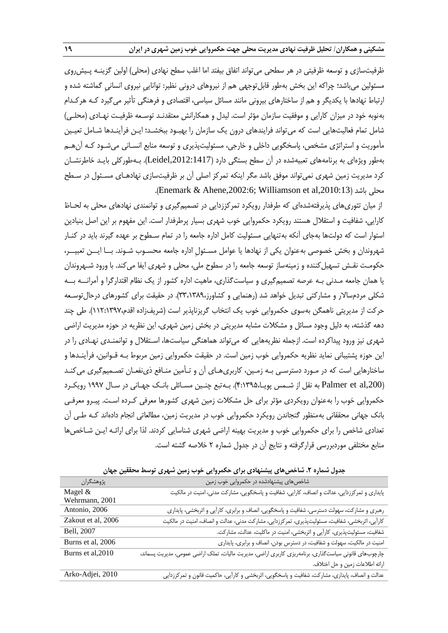ظرفیتسازی و توسعه ظرفیتی در هر سطحی می تواند اتفاق بیفتد اما اغلب سطح نهادی (محلی) اولین گزینـه پـیش $_{0}$ وی مسئولین میباشد؛ چراکه این بخش بهطور قابلتوجهی هم از نیروهای درونی نظیر: تواناییِ نیروی انسانیِ گماشته شده و ارتباط نهادها با یکدیگر و هم از ساختارهای بیرونی مانند مسائل سیاسی، اقتصادی و فرهنگی تأثیر میگیرد کـه هرکـدام بهنوبه خود در میزان کارایی و موفقیت سازمان مؤثر است. لیدل و همکارانش معتقدنـد توسـعه ظرفیـت نهـادی )محلـی( شامل تمام فعالیتهایی است که میتواند فرایندهای درون یک سازمان را بهبـود ببخشـد؛ ایـن فرآینـدها شـامل تعیـین مأموریت و استراتژی مشخص، پاسخگویی داخلی و خارجی، مسئولیتپذیری و توسعه منابع انسـانی میشـود کـه آنهـم بهطور ویژهای به برنامههای تعبیهشده در آن سطح بستگی دارد ),2012:1417Leidel). بـهطورکلی بایـد خاطرنشـان کرد مدیریت زمین شهری نمیتواند موفق باشد مگر اینکه تمرکز اصلی آن بر ظرفیتسازی نهادهـای مسـئول در سـطح .)Enemark & Ahene,2002:6; Williamson et al,2010:13( باشد محلی

از میان تئوریهای پذیرفتهشدهای که طرفدار رویکرد تمرکززدایی در تصمیمگیری و توانمندی نهادهای محلی به لحـاظ کارایی، شفافیت و استقالل هستند رویکرد حکمروایی خوب شهری بسیار پرطرفدار است. این مفهوم بر این اصل بنیادین استوار است که دولتها بهجای آنکه بهتنهایی مسئولیت کامل اداره جامعه را در تمام سـطوح بر عهده گیرند باید در کنـار شهروندان و بخش خصوصی بهعنوان یکی از نهادها یا عوامل مسـئولِ اداره جامعه محسـوب شـوند. بــا ایــن تعبیــر، حکومـت نقـش تسهیلکننده و زمینهساز توسعه جامعه را در سطوح ملی، محلی و شهری ایفا میکند. با ورود شـهروندان یا همان جامعه مـدنی بـه عرصه تصمیمگیری و سیاستگذاری، ماهیت اداره کشور از یک نظام اقتدارگرا و آمرانــه بــه شکلی مردمسالار و مشارکتی تبدیل خواهد شد (رهنمایی و کشاورز،٣٣،١٣٨٩). در حقیقت برای کشورهای درحالتوسـعه حرکت از مدیریتی ناهمگن بهسوی حکمروایی خوب یک انتخاب گریزناپذیر است )شریفزاده اقدم112:1397،(. طی چند دهه گذشته، به دلیل وجود مسائل و مشکالت مشابه مدیریتی در بخش زمین شهری، این نظریه در حوزه مدیریت اراضی شهری نیز ورود پیداکرده است. ازجمله نظریههایی که میتواند هماهنگی سیاستها، اسـتقالل و توانمنـدی نهـادی را در این حوزه پشتیبانی نماید نظریه حکمروایی خوب زمین است. در حقیقت حکمروایی زمین مربوط بـه قـوانین، فرآینـدها و ساختارهایی است که در مـورد دسترسـی بـه زمـین، کاربریهـای آن و تـأمین منـافع ذینفعـان تصـمیمگیری میکنـد ),200al et Palmer به نقل از شـمس پویـا4:1395،(. بـهتبع چنـین مسـائلی بانـک جهـانی در سـال 1997 رویکـرد حکمروایی خوب را بهعنوان رویکردی مؤثر برای حل مشکالت زمین شهری کشورها معرفی کـرده اسـت. پیـرو معرفـی بانک جهانی محققانی بهمنظور گنجاندن رویکرد حکمروایی خوب در مدیریت زمین، مطالعاتی انجام دادهاند کـه طـی آن تعدادی شاخص را برای حکمروایی خوب و مدیریت بهینه اراضی شهری شناسایی کردند. لذا برای ارائـه ایـن شـاخصها منابع مختلفی موردبررسی قرارگرفته و نتایج آن در جدول شماره 2 خالصه گشته است.

| …ت—                | بموت مستردا المستوسي بيانتها فالبراق المستروتين الربار رابين متهرق الرائي                              |
|--------------------|--------------------------------------------------------------------------------------------------------|
| پژوهشگران          | شاخصهای پیشنهادشده در حکمروایی خوب زمین                                                                |
| Magel $&$          | پایداری و تمرکززدایی، عدالت و انصاف، کارایی، شفافیت و پاسخگویی، مشارکت مدنی، امنیت در مالکیت           |
| Wehrmann, 2001     |                                                                                                        |
| Antonio, 2006      | رهبری و مشارکت، سهولت دسترسی، شفافیت و پاسخگویی، انصاف و برابری، کارآیی و اثربخشی، پایداری             |
| Zakout et al, 2006 | كارآيي، اثربخشي، شفافيت، مسئوليتپذيري، تمركززدايي، مشاركت مدني، عدالت و انصاف، امنيت در مالكيت         |
| Bell, 2007         | شفافیت، مسئولیتپذیری، کارآیی و اثربخشی، امنیت در ماکلیت، عدالت، مشارکت.                                |
| Burns et al, 2006  | امنیت در مالکیت، سهولت و شفافیت، در دسترس بودن، انصاف و برابری، پایداری                                |
| Burns et al, 2010  | چارچوبهای قانونی سیاست گذاری، برنامهریزی کاربری اراضی، مدیریت مالیات، تملک اراضی عمومی، مدیریت پسماند، |
|                    | ارائه اطلاعات زمين و حل اختلاف.                                                                        |
| Arko-Adjei, 2010   | عدالت و انصاف، پایداری، مشارکت، شفافیت و پاسخگویی، اثربخشی و کارآیی، حاکمیت قانون و تمرکززدایی         |

**جدول شماره .2 شاخصهای پیشنهادی برای حکمروایی خوب زمین شهری توسط محققین جهان**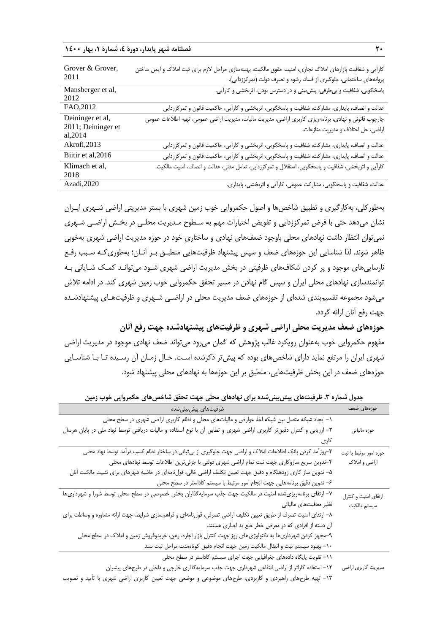**20 فصلنامه شهر پایدار، دورۀ ،4 شمارۀ ،1 بهار 1400**

| Grover & Grover,<br>2011                           | کارآیی و شفافیت بازارهای املاک تجاری، امنیت حقوق مالکیت، بهینهسازی مراحل لازم برای ثبت املاک و ایمن ساختن<br>پروانههای ساختمانی، جلوگیری از فساد، رشوه و تصرف دولت (تمرکززدایی). |
|----------------------------------------------------|----------------------------------------------------------------------------------------------------------------------------------------------------------------------------------|
| Mansberger et al,<br>2012                          | پاسخگویی، شفافیت و بیطرفی، پیش بینی و در دسترس بودن، اثربخشی و کارآیی.                                                                                                           |
| FAO, 2012                                          | عدالت و انصاف، پایداری، مشارکت، شفافیت و پاسخگویی، اثربخشی و کارآیی، حاکمیت قانون و تمرکززدایی                                                                                   |
| Deininger et al,<br>2011; Deininger et<br>al, 2014 | چارچوب قانونی و نهادی، برنامهریزی کاربری اراضی، مدیریت مالیات، مدیریت اراضی عمومی، تهیه اطلاعات عمومی<br>اراضي، حل اختلاف و مديريت منازعات.                                      |
| Akrofi, 2013                                       | عدالت و انصاف، پایداری، مشارکت، شفافیت و پاسخگویی، اثربخشی و کارآیی، حاکمیت قانون و تمرکززدایی                                                                                   |
| Biitir et al, 2016                                 | عدالت و انصاف، پایداری، مشارکت، شفافیت و پاسخگویی، اثربخشی و کارآیی، حاکمیت قانون و تمرکززدایی                                                                                   |
| Klimach et al,<br>2018                             | كارآيي و اثربخشي، شفافيت و پاسخگويي، استقلال و تمركززدايي، تعامل مدني، عدالت و انصاف، امنيت مالكيت.                                                                              |
| Azadi, 2020                                        | عدالت، شفافیت و پاسخگویی، مشارکت عمومی، کارآیی و اثربخشی، پایداری.                                                                                                               |

بهطورکلی، بهکارگیری و تطبیق شاخصها و اصول حکمروایی خوب زمین شهری با بستر مدیریتی اراضی شـهری ایـران نشان میدهد حتی با فرض تمرکززدایی و تفویض اختیارات مهم به سـطوح مـدیریت محلـی در بخـش اراضـی شـهری نمیتوان انتظار داشت نهادهای محلی باوجود ضعفهای نهادی و ساختاریِ خود در حوزه مدیریت اراضی شهری بهخوبی ظاهر شوند. لذا شناسایی این حوزههای ضعف و سپس پیشنهاد ظرفیتهایی منطبـق بـر آنـان؛ بهطوریکـه سـبب رفـع نارساییهای موجود و پر کردن شکافهای ظرفیتی در بخش مدیریت اراضی شهری شـود میتوانـد کمـک شـایانی بـه توانمندسازی نهادهای محلی ایران و سپس گام نهادن در مسیر تحقق حکمروایی خوب زمین شهری کند. در ادامه تالش میشود مجموعه تقسیمبندی شدهای از حوزههای ضعف مدیریت محلی در اراضـی شـهری و ظرفیتهـای پیشنهادشـده جهت رفع آنان ارائه گردد.

**حوزههای ضعف مدیریت محلی اراضی شهری و ظرفیتهای پیشنهادشده جهت رفع آنان** مفهوم حکمروایی خوب بهعنوان رویکرد غالب پژوهش که گمان میرود میتواند ضعف نهادی موجود در مدیریت اراضی شهری ایران را مرتفع نماید دارای شاخصهای بوده که پیشتر ذکرشده اسـت. حـال زمـان آن رسـیده تـا بـا شناسـایی حوزههای ضعف در این بخش ظرفیتهایی، منطبق بر این حوزهها به نهادهای محلی پیشنهاد شود.

| <i>ډر</i> يې په بر پي<br><u> پان</u><br>$\ddotsc$<br><b>سی به س</b> ه                                               |                        |
|---------------------------------------------------------------------------------------------------------------------|------------------------|
| ظرفيتهاى پيشبينىشده                                                                                                 | حوزههای ضعف            |
| ۱– ایجاد شبکه متصل بین شبکه اخذ عوارض و مالیاتهای محلی و نظام کاربری اراضی شهری در سطح محلی                         |                        |
| ۲– ارزیابی و کنترل دقیقتر کاربری اراضی شهری و تطابق آن با نوع استفاده و مالیات دریافتی توسط نهاد ملی در پایان هرسال | حوزه مالياتي           |
| کاری                                                                                                                |                        |
| ۳–روزاًمد کردن بانک اطلاعات املاک و اراضی جهت جلوگیری از بی¢باتی در ساختار نظام کسب درآمد توسط نهاد محلی            | حوزه امور مرتبط با ثبت |
| ۴–تدوین سریع سازوکاری جهت ثبت تمام اراضی شهری دولتی با جزئیترین اطلاعات توسط نهادهای محلی                           | اراضي و املاک          |
| ۵– تدوین ساز کاری زودهنگام و دقیق جهت تعیین تکلیف اراضی خالی، قولنامهای در حاشیه شهرهای برای تثبیت مالکیت آنان      |                        |
| ۶– تدوین دقیق برنامههایی جهت انجام امور مرتبط با سیستم کاداستر در سطح محلی                                          |                        |
| ۷– ارتقای برنامهریزیشده امنیت در مالکیت جهت جذب سرمایهگذاران بخش خصوصی در سطح محلی توسط شورا و شهرداریها            | ارتقاى امنيت وكنترل    |
| نظیر معافیتهای مالیاتی                                                                                              | سيستم مالكيت           |
| ۸– ارتقای امنیت تصرف از طریق تعیین تکلیف اراضی تصرفی، قولنامهای و فراهمسازی شرایط، جهت ارائه مشاوره و وساطت برای    |                        |
| أن دسته از افرادی که در معرض خطر خلع ید اجباری هستند.                                                               |                        |
| ۹-مجهز کردن شهرداریها به تکنولوژیهای روز جهت کنترل بازار اجاره، رهن، خریدوفروش زمین و املاک در سطح محلی             |                        |
| ۱۰– بهبود سیستم ثبت و انتقال مالکیت زمین جهت انجام دقیق کوتاهمدت مراحل ثبت سند                                      |                        |
| ١١- تقویت پایگاه دادههای جغرافیایی جهت اجرای سیستم کاداستر در سطح محلی                                              |                        |
| ۱۲– استفاده کاراتر از اراضی انتفاعی شهرداری جهت جذب سرمایهگذاری خارجی و داخلی در طرحهای پیشران                      | مديريت كاربرى اراضى    |
| ۱۳- تهیه طرحهای راهبردی و کاربردی، طرحهای موضوعی و موضعی جهت تعیین کاربری اراضی شهری با تأیید و تصویب               |                        |

**جدول شماره .3 ظرفیتهای پیشبینیشده برای نهادهای محلی جهت تحقق شاخصهای حکمروایی خوب زمین**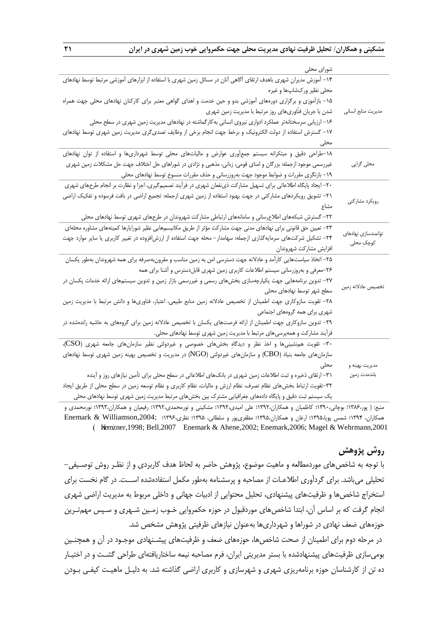| شورای محلی                                                                                                        |                                    |
|-------------------------------------------------------------------------------------------------------------------|------------------------------------|
| ۱۴– آموزش مدیران شهری باهدف ارتقای أگاهی آنان در مسائل زمین شهری با استفاده از ابزارهای آموزشی مرتبط توسط نهادهای |                                    |
| محلی نظیر ورکشاپها و غیره                                                                                         |                                    |
| ۱۵– بازآموزی و برگزاری دورههای آموزشی بدو و حین خدمت و اهدای گواهی معتبر برای کارکنان نهادهای محلی جهت همراه      |                                    |
| شدن با جریان فنّاوریهای روز مرتبط با مدیریت زمین شهری                                                             | مديريت منابع انساني                |
| ۱۶– ارزیابی سرسختانه تر عملکرد ادواری نیروی انسانی به کارگماشته در نهادهای مدیریت زمین شهری در سطح محلی           |                                    |
| ١٧– گسترش استفاده از دولت الكترونيك و برخط جهت انجام برخى از وظايف تصدىگرى مديريت زمين شهرى توسط نهادهاى          |                                    |
| محلى                                                                                                              |                                    |
| ۱۸-طراحی دقیق و مبتکرانه سیستم جمعآوری عوارض و مالیاتهای محلی توسط شهرداریها و استفاده از توان نهادهای            |                                    |
| غیررسمی موجود ازجمله: بزرگان و امنای قومی، زبانی، مذهبی و نژادی در شوراهای حل اختلاف جهت حل مشکلات زمین شهری      | محلی گرایی                         |
| ۱۹– بازنگری مقررات و ضوابط موجود جهت بهروزرسانی و حذف مقررات منسوخ توسط نهادهای محلی                              |                                    |
| ۲۰– ایجاد پایگاه اطلاعاتی برای تسهیل مشارکت ذیiفعان شهری در فرآیند تصمیمگیری، اجرا و نظارت بر انجام طرحهای شهری   |                                    |
| ٢١- تشویق رویکردهای مشارکتی در جهت بهبود استفاده از زمین شهری ازجمله: تجمیع اراضی در بافت فرسوده و تفکیک اراضی    |                                    |
| مشاع                                                                                                              | رويكرد مشاركتي                     |
| ۲۲– گسترش شبکههای اطلاعرسانی و سامانههای ارتباطی مشارکت شهروندان در طرحهای شهری توسط نهادهای محلی                 |                                    |
| ٢٣– تعيين حق قانوني براي نهادهاي مدنى جهت مشاركت مؤثر از طريق مكانيسمهايي نظير شورايارها كميتههاي مشاوره محلهاي   |                                    |
| ۲۴– تشکیل شرکتهای سرمایهگذاری ازجمله: سهامدار– محله جهت استفاده از ارزش فزوده در تغییر کاربری یا سایر موارد جهت   | توانمندسازى نهادهاى<br>كوچك ِ محلى |
| افزايش مشاركت شهروندان                                                                                            |                                    |
| ۲۵– اتخاذ سیاستهایی کارآمد و عادلانه جهت دسترسی امن به زمین مناسب و مقرونبهصرفه برای همه شهروندان بهطور یکسان     |                                    |
| ۲۶-معرفی و بهروزرسانی سیستم اطلاعات کاربری زمین شهری قابلدسترس و آشنا برای همه                                    |                                    |
| ۲۷– تدوین برنامههایی جهت یکپارچهسازی بخشهای رسمی و غیررسمی بازار زمین و تدوین سیستمهای ارائه خدمات یکسان در       |                                    |
| سطح شهر توسط نهادهای محلی                                                                                         | تخصيص عادلانه زمين                 |
| ٢٨- تقويت سازوكارى جهت اطمينان از تخصيص عادلانه زمين منابع طبيعي، اعتبار، فناورىها و دانش مرتبط با مديريت زمين    |                                    |
| شهری برای همه گروههای اجتماعی                                                                                     |                                    |
| ۲۹– تدوین سازوکاری جهت اطمینان از ارائه فرصتهای یکسان با تخصیص عادلانه زمین برای گروههای به حاشیه راندهشده در     |                                    |
| فرآیند مشارکت و همهپرسی های مرتبط با مدیریت زمین شهری توسط نهادهای محلی.                                          |                                    |
| ۳۰- تقویت هم;شینیها و اخذ نظر و دیدگاهِ بخشهای خصوصی و غیردولتی نظیر سازمانهای جامعه شهری (CSO)،                  |                                    |
| سازمانهای جامعه بنیاد (CBO) و سازمانهای غیردولتی (NGO) در مدیریت و تخصیص بهینه زمین شهری توسط نهادهای             |                                    |
| محلى                                                                                                              | مديريت بهينه و                     |
| ۳۱– ارتقای ذخیره و ثبت اطلاعات زمین شهری در بانکهای اطلاعاتی در سطح محلی برای تأمین نیازهای روز و آینده           | بلندمدت زمين                       |
| ٣٢-تقويت ارتباط بخش هاى نظام تصرف، نظام ارزش و ماليات، نظام كاربرى و نظام توسعه زمين در سطح محلى از طريق ايجاد    |                                    |
| یک سیستم ثبت دقیق و پایگاه دادههای جغرافیایی مشترک بین بخشهای مرتبط مدیریت زمین شهری توسط نهادهای محلی            |                                    |

منبع: ) پور1386،؛ بوچانی1390،؛ کاظمیان و همکاران1392،؛ علی امیدی1392،؛ مشکینی و نورمحمدی1392،؛ رفیعیان و همکاران1393،؛ نورمحمدی و همکاران، 1394؛ شمس پویا1395،؛ ارران و همکاران1395،؛ مظفریپور و سلطانی، 1395؛ نظری1396،؛ ;,2004Williamson & Enemark .) Kremzner,1998; Bell,2007 Enemark & Ahene,2002; Enemark,2006; Magel & Wehrmann,2001

# **روش پژوهش**

با توجه به شاخصهای موردمطالعه و ماهیت موضوع، پژوهش حاضر به لحاظ هدف کاربردی و از نظـر روش توصـیفی- تحلیلی میباشد. برای گردآوری اطالعـات از مصاحبه و پرسشنامه بهطور مکمل استفادهشده اســت. در گام نخست برای استخراج شاخصها و ظرفیتهای پیشنهادی، تحلیل محتوایی از ادبیات جهانی و داخلی مربوط به مدیریت اراضی شهری انجام گرفت که بر اساس آن، ابتدا شاخصهای موردقبول در حوزه حکمروایی خـوب زمـین شـهری و سـپس مهمتـرین حوزههای ضعف نهادی در شوراها و شهرداریها بهعنوان نیازهای ظرفیتی پژوهش مشخص شد.

در مرحله دوم برای اطمینان از صحت شاخصها، حوزههای ضعف و ظرفیتهای پیشـنهادی موجـود در آن و همچنـین بومیسازی ظرفیتهای پیشنهادشده با بستر مدیریتی ایران، فرم مصاحبه نیمه ساختاریافتهای طراحی گشـت و در اختیـار ده تن از کارشناسان حوزه برنامهریزی شهری و شهرسازی و کاربری اراضی گذاشته شد. به دلیـل ماهیـت کیفـی بـودن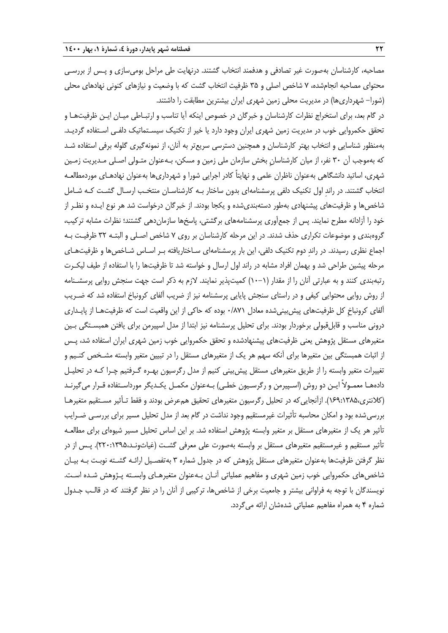مصاحبه، کارشناسان بهصورت غیر تصادفی و هدفمند انتخاب گشتند. درنهایت طی مراحل بومیسازی و پـس از بررسـی محتوای مصاحبه انجامشده، 7 شاخص اصلی و 35 ظرفیت انتخاب گشت که با وضعیت و نیازهای کنونی نهادهای محلی )شورا- شهرداریها( در مدیریت محلی زمین شهری ایران بیشترین مطابقت را داشتند.

در گام بعد، برای استخراج نظرات کارشناسان و خبرگان در خصوص اینکه آیا تناسب و ارتبـاطی میـان ایـن ظرفیتهـا و تحقق حکمروایی خوب در مدیریت زمین شهری ایران وجود دارد یا خیر از تکنیک سیسـتماتیک دلفـی اسـتفاده گردیـد. بهمنظور شناسایی و انتخاب بهتر کارشناسان و همچنین دسترسی سریعتر به آنان، از نمونهگیری گلوله برفی استفاده شـد که بهموجب آن 30 نفر، از میان کارشناسانِ بخش سازمان ملی زمین و مسکن، بـهعنوان متـولی اصـلی مـدیریت زمـین شهری، اساتید دانشگاهی بهعنوان ناظران علمی و نهایتاً کادر اجرایی شورا و شهرداریها بهعنوان نهادهـای موردمطالعـه انتخاب گشتند. در راندِ اول تکنیک دلفی پرسشنامهای بدون ساختار بـه کارشناسـان منتخـب ارسـال گشـت کـه شـامل شاخصها و ظرفیتهای پیشنهادی بهطور دستهبندیشده و یکجا بودند. از خبرگان درخواست شد هر نوع ایـده و نظـر از خود را آزادانه مطرح نمایند. پس از جمعآوری پرسشنامههای برگشتی، پاسخها سازماندهی گشتند؛ نظرات مشابه ترکیب، گروهبندی و موضوعات تکراری حذف شدند. در این مرحله کارشناسان بر روی 7 شاخص اصـلی و البتـه 32 ظرفیـت بـه اجماع نظری رسیدند. در راندِ دوم تکنیک دلفی، این بار پرسشنامهای سـاختاریافته بـر اسـاس شـاخصها و ظرفیتهـای مرحله پیشین طراحی شد و بهمان افراد مشابه در راند اول ارسال و خواسته شد تا ظرفیتها را با استفاده از طیف لیکـرت رتبهبندی کنند و به عبارتی آنان را از مقدار )10-1( کمیتپذیر نمایند. الزم به ذکر است جهت سنجش روایی پرسشـنامه از روش روایی محتوایی کیفی و در راستای سنجش پایایی پرسشنامه نیز از ضریب آلفای کرونباخ استفاده شد که ضـریب آلفای کرونباخِ کل ظرفیتهای پیشبینیشده معادل 0/871 بوده که حاکی از این واقعیت است که ظرفیتهـا از پایـداری درونی مناسب و قابلقبولی برخوردار بودند. برای تحلیل پرسشنامه نیز ابتدا از مدل اسپیرمن برای یافتن همبسـتگی بـین متغیرهای مستقل پژوهش یعنی ظرفیتهای پیشنهادشده و تحقق حکمروایی خوب زمین شهری ایران استفاده شد، پـس از اثبات همبستگی بین متغیرها برای آنکه سهم هر یک از متغیرهای مستقل را در تبیین متغیر وابسته مشـخص کنـیم و تغییرات متغیر وابسته را از طریق متغیرهای مستقل پیشبینی کنیم از مدل رگرسیون بهـره گـرفتیم چـرا کـه در تحلیـل دادههـا معمـولاً ایـن دو روش (اسـپیرمن و رگرسـیون خطـی) بـهعنوان مکمـل یکـدیگر مورداسـتفاده قـرار میگیرنـد (کلانتری،۱۳۸۵:۱۶۹:). ازآنجایی که در تحلیل رگرسیون متغیرهای تحقیق همءرض بودند و فقط تـأثیر مسـتقیم متغیرهـا بررسی شده بود و امکان محاسبه تأثیرات غیرمستقیم وجود نداشت در گام بعد از مدل تحلیل مسیر برای بررسـی ضـرایب تأثیر هر یک از متغیرهای مستقل بر متغیر وابسته پژوهش استفاده شد. بر این اساس تحلیل مسیر شیوهای برای مطالعـه تأثیر مستقیم و غیرمستقیم متغیرهای مستقل بر وابسته بهصورت علی معرفی گشـت (غیاثونـد،۱۳۹۵:۲۲۰). پـس از در نظر گرفتن ظرفیتها بهعنوان متغیرهای مستقل پژوهش که در جدول شماره 3 بهتفصـیل ارائـه گشـته نوبـت بـه بیـان شاخصهای حکمروایی خوب زمین شهری و مفاهیم عملیاتی آنـان بـهعنوان متغیرهـای وابسـته پـژوهش شـده اسـت. نویسندگان با توجه به فراوانی بیشتر و جامعیت برخی از شاخصها، ترکیبی از آنان را در نظر گرفتند که در قالـب جـدول شماره 4 به همراه مفاهیم عملیاتی شدهشان ارائه میگردد.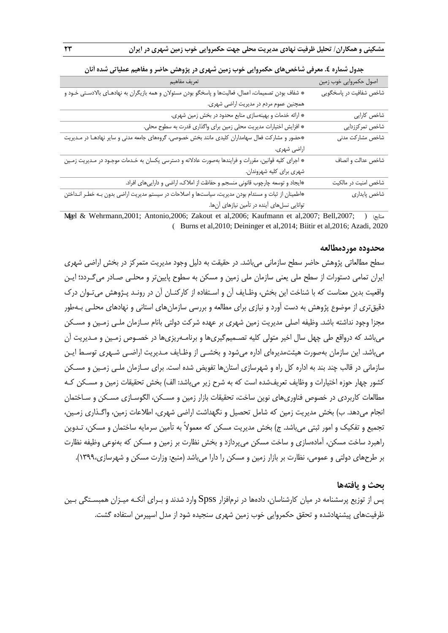| تعريف مفاهيم                                                                                           | اصول حکمروایی خوب زمین  |
|--------------------------------------------------------------------------------------------------------|-------------------------|
| * شفاف بودن تصمیمات، اعمال، فعالیتها و پاسخگو بودن مسئولان و همه بازیگران به نهادهـای بالادسـتی خـود و | شاخص شفافیت در پاسخگویی |
| همچنین عموم مردم در مدیریت اراضی شهری.                                                                 |                         |
| * ارائه خدمات و بهینهسازی منابع محدود در بخش زمین شهری.                                                | شاخص کارایی             |
| * افزایش اختیارات مدیریت محلی زمین برای واگذاری قدرت به سطوح محلی.                                     | شاخص تمركززدايي         |
| *حضور و مشارکت فعال سهامداران کلیدی مانند بخش خصوصی، گروههای جامعه مدنی و سایر نهادهـا در مـدیریت      | شاخص مشاركت مدنى        |
| اراضي شهري.                                                                                            |                         |
| * اجرای کلیه قوانین، مقررات و فرایندها بهصورت عادلانه و دسترسی یکسان به خـدمات موجـود در مـدیریت زمـین | شاخص عدالت و انصاف      |
| شهري براي كليه شهروندان.                                                                               |                         |
| *ایجاد و توسعه چارچوب قانونی منسجم و حفاظت از املاک، اراضی و داراییهای افراد.                          | شاخص امنیت در مالکیت    |
| *اطمینان از ثبات و مستدام بودن مدیریت، سیاستها و اصلاحات در سیستم مدیریت اراضی بدون بـه خطـر انـداختن  | شاخص پايداري            |
| توانایی نسلهای آینده در تأمین نیازهای آنها.                                                            |                         |

|  |  |  |  |  |  |  |  |  | جدول شماره ٤. معرفی شاخصهای حکمروایی خوب زمین شهری در پژوهش حاضر و مفاهیم عملیاتی شده انان |  |  |
|--|--|--|--|--|--|--|--|--|--------------------------------------------------------------------------------------------|--|--|
|--|--|--|--|--|--|--|--|--|--------------------------------------------------------------------------------------------|--|--|

Magel & Wehrmann,2001; Antonio,2006; Zakout et al,2006; Kaufmann et al,2007; Bell,2007; ( :منابع .) Burns et al,2010; Deininger et al,2014; Biitir et al,2016; Azadi, 2020

#### **محدوده موردمطالعه**

سطح مطالعاتی پژوهش حاضر سطح سازمانی میباشد. در حقیقت به دلیل وجود مدیریت متمرکز در بخش اراضی شهری ایران تمامی دستورات از سطح ملی یعنی سازمان ملی زمین و مسکن به سطوح پایینتر و محلـی صـادر میگـردد؛ ایـن واقعیت بدین معناست که با شناخت این بخش، وظـایف آن و اسـتفاده از کارکنـان آن در رونـد پـژوهش میتـوان درك دقیقتری از موضوع پژوهش به دست آورد و نیازی برای مطالعه و بررسی سازمانهای استانی و نهادهای محلـی بـهطور مجزا وجود نداشته باشد. وظیفه اصلی مدیریت زمین شهری بر عهده شرکت دولتی بانام سـازمان ملـی زمـین و مسـکن میباشد که درواقع طی چهل سال اخیر متولی کلیه تصـمیمگیریها و برنامـهریزیها در خصـوص زمـین و مـدیریت آن میباشد. این سازمان بهصورت هیئتمدیرهای اداره میشود و بخشـی از وظـایف مـدیریت اراضـی شـهری توسـ ایـن سازمانی در قالب چند بند به اداره کل راه و شهرسازی استانها تفویض شده است. برای سـازمان ملـی زمـین و مسـکن کشور چهار حوزه اختیارات و وظایف تعریفشده است که به شرح زیر میباشد: الف) بخش تحقیقات زمین و مسـکن کـه مطالعات کاربردی در خصوص فناوریهای نوین ساخت، تحقیقات بازار زمین و مسـکن، الگوسـازی مسـکن و سـاختمان انجام میدهد. ب) بخش مدیریت زمین که شامل تحصیل و نگهداشت اراضی شهری، اطلاعات زمین، واگـذاری زمـین، تجمیع و تفکیک و امور ثبتی می،باشد. ج) بخش مدیریت مسکن که معمولاً به تأمین سرمایه ساختمان و مسکن، تـدوین راهبرد ساخت مسکن، آمادهسازی و ساخت مسکن میپردازد و بخش نظارت بر زمین و مسکن که بهنوعی وظیفه نظارت بر طرحهای دولتی و عمومی، نظارت بر بازار زمین و مسکن را دارا میباشد (منبع: وزارت مسکن و شهرسازی،١٣٩٩).

#### **بحث و یافتهها**

پس از توزیع پرسشنامه در میان کارشناسان، دادهها در نرمافزار Spss وارد شدند و بـرای آنکـه میـزان همبسـتگی بـین ظرفیتهای پیشنهادشده و تحقق حکمروایی خوب زمین شهری سنجیده شود از مدل اسپیرمن استفاده گشت.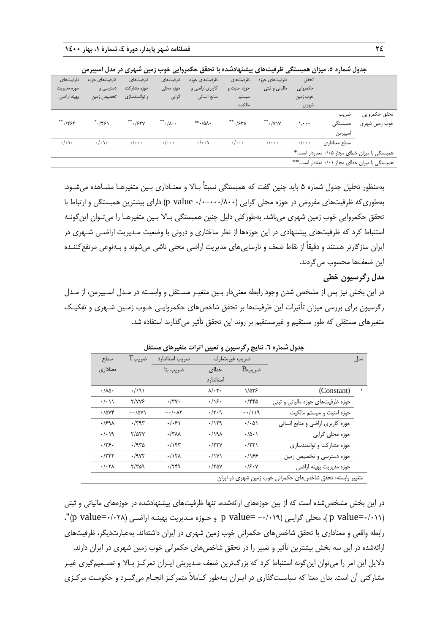|                         | جدول سماره ۰. میران همبسنگی طرفیتهای پیستهادسده با تحقق حکمروایی خوب رمین سهری در مدل اسپیرمن |                    |                                 |                    |                    |                    |                    |              |                                                |  |
|-------------------------|-----------------------------------------------------------------------------------------------|--------------------|---------------------------------|--------------------|--------------------|--------------------|--------------------|--------------|------------------------------------------------|--|
| ظرفيتهاى                | ظرفیتهای حوزه                                                                                 | ظرفيتهاى           | ظرفيتهاى                        | ظرفیتهای حوزه      | ظرفيتهاى           | ظرفیتهای حوزه      | تحقق               |              |                                                |  |
| حوزه مديريت             | دسترسی و                                                                                      | حوزه مشاركت        | حوزه محلى                       | کاربری اراضی و     | حوزه امنیت و       | مالياتي و ثبتي     | حكمروايي           |              |                                                |  |
| بهينه اراضى             | تخصیص زمین                                                                                    | و توانمندسازی      | گرايى                           | منابع انسانى       | سيستم              |                    | خوب زمين           |              |                                                |  |
|                         |                                                                                               |                    |                                 |                    | مالكيت             |                    | شهرى               |              |                                                |  |
|                         |                                                                                               |                    |                                 |                    |                    |                    |                    | ضريب         | تحقق حكمروايي                                  |  |
| $***.$ /۴۶۴             | **/۴۶۱                                                                                        | ۶۴۷.**             | $^{**}$ $\cdot/\lambda \cdot$ . | $**$ $-\infty$ .   | 7.۶۳۵ **           | $**$ ./Y\Y         | ۰۰۰۰ ۱             | همبستگی      | خوب زمین شهری                                  |  |
|                         |                                                                                               |                    |                                 |                    |                    |                    |                    | اسپيرمن      |                                                |  |
| $\cdot/\cdot$ \ $\cdot$ | $\cdot/\cdot$ ) $\cdot$                                                                       | $\cdot/\cdot\cdot$ | $\cdot/\cdot\cdot$              | $\cdot/\cdot\cdot$ | $\cdot/\cdot\cdot$ | $\cdot/\cdot\cdot$ | $\cdot/\cdot\cdot$ | سطح معناداري |                                                |  |
|                         |                                                                                               |                    |                                 |                    |                    |                    |                    |              | همبستگی با میزان خطای مجاز ۰/۰۵ معناردار است.* |  |
|                         |                                                                                               |                    |                                 |                    |                    |                    |                    |              | همبستگی با میزان خطای مجاز ۰/۰۱ معنادار است.** |  |

**جدول شماره .5 میزان همبستگی ظرفیتهای پیشنهادشده با تحقق حکمروایی خوب زمین شهری در مدل اسپیرمن**

بهمنظور تحلیل جدول شماره 5 باید چنین گفت که همبستگی نسبتاً بـاال و معنـاداری بـین متغیرهـا مشـاهده میشـود. بهطوری که ظرفیتهای مفروض در حوزه محلی گرایی (۵۰۰۰-۰۰۰/ p value) دارای بیشترین همبستگی و ارتباط با تحقق حکمروایی خوب زمین شهری میباشد. بهطورکلی دلیل چنین همبستگی بـاال بـین متغیرهـا را میتـوان اینگونـه استنباط کرد که ظرفیتهای پیشنهادی در این حوزهها از نظر ساختاری و درونی با وضعیت مـدیریت اراضـی شـهری در ایران سازگارتر هستند و دقیقاً از نقاط ضعف و نارساییهای مدیریت اراضی محلی ناشی میشوند و بـهنوعی مرتفعکننـده این ضعفها محسوب میگردند.

**مدل رگرسیون خطی**

در این بخش نیز پس از مشخص شدن وجود رابطه معنیدار بـین متغیـر مسـتقل و وابسـته در مـدل اسـپیرمن، از مـدل رگرسیون برای بررسی میزان تأثیرات این ظرفیتها بر تحقق شاخصهای حکمروایـی خـوب زمـین شـهری و تفکیـک متغیرهای مستقلی که طور مستقیم و غیرمستقیم بر روند این تحقق تأثیر میگذارند استفاده شد.

| مدل |                                                            | ضريب غيرمتعارف       |                        | ضريب استاندارد       | ضريبT             | سطح                        |
|-----|------------------------------------------------------------|----------------------|------------------------|----------------------|-------------------|----------------------------|
|     |                                                            | ضريبB                | خطاى                   | ضريب بتا             |                   | معناداری                   |
|     |                                                            |                      | استاندار د             |                      |                   |                            |
|     | (Constant)                                                 | ۱/۵۳۶                | $\lambda/\cdot \tau$ . |                      | .791              | $\cdot/\lambda\Delta\cdot$ |
|     | حوزه ظرفیتهای حوزه مالیاتی و ثبتی                          | $\cdot$ /۴۴۵         | .79.                   | $\cdot$ /۳ $\vee$ .  | <b>۲/۷۷۶</b>      | $\cdot/\cdot$ ) )          |
|     | حوزه امنيت و سيستم مالكيت                                  | $-\cdot/19$          | .7.9                   | $-$ ./. $\lambda$ ۲  | $-\cdot/\Delta V$ | .7004                      |
|     | حوزه كاربرى اراضى و منابع انسانى                           | $\cdot/\cdot\Delta$  | .1179                  | .  .5                | $\cdot$ /۳۹۳      | .1991                      |
|     | حوزہ محلی گرایی                                            | $\cdot/\Delta \cdot$ | $.19\lambda$           | $\cdot$ /٣ $\Lambda$ | $Y/\Delta YY$     | . / 9                      |
|     | حوزه مشاركت و توانمندسازى                                  | $\cdot$ /٢٢١         | $\cdot$ /۲۳ $\gamma$   | $\cdot$ /۱۴۳         | .7970             | .775.                      |
|     | حوزه دسترسی و تخصیص زمین                                   | .188                 | $\cdot/\gamma\gamma$   | .117A                | $\cdot$ /987      | $\cdot$ /٣۴٢               |
|     | حوزه مديريت بهينه اراضى                                    | .19.1                | $\cdot$ /۲۵۷           | .779                 | $\frac{1}{2}$     | . / .7                     |
|     | متغییر وابسته: تحقق شاخصهای حکمرانی خوب زمین شهری در ایران |                      |                        |                      |                   |                            |

**جدول شماره .6 نتایج رگرسیون و تعیین اثرات متغیرهای مستقل**

در این بخش مشخصشده است که از بین حوزههای ارائهشده، تنها ظرفیتهای پیشنهادشده در حوزههای مالیاتی و ثبتی )، محلی گرایـی (۰/۱۹–p value و حـوزه مـدیریت بهینـه اراضـی (۲۸/۰=p value)"، p (p value) رابطه واقعی و معناداری با تحقق شاخصهای حکمرانی خوب زمین شهری در ایران داشتهاند. بهعبارتدیگر، ظرفیتهای ارائهشده در این سه بخش بیشترین تأثیر و تغییر را در تحقق شاخصهای حکمرانی خوب زمین شهری در ایران دارند. دلایل این امر را میتوان اینگونه استنباط کرد که بزرگترین ضعف مـدیریتی ایـران تمرکـز بـالا و تصـمیمگیری غیـر مشارکتی آن است. بدان معنا که سیاسـتگذاری در ایـران بـهطور کـامالً متمرکـز انجـام میگیـرد و حکومـت مرکـزی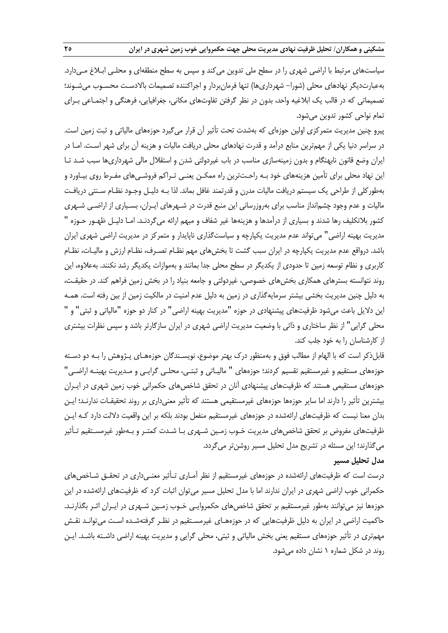سیاستهای مرتبط با اراضی شهری را در سطح ملی تدوین می کند و سپس به سطح منطقهای و محلـی ابـلاغ مـیدارد. بهعبارتدیگر نهادهای محلی )شورا- شهرداریها( تنها فرمانبردار و اجراکننده تصمیمات باالدسـت محسـوب میشـوند؛ تصمیماتی که در قالب یک ابالریه واحد، بدون در نظر گرفتن تفاوتهای مکانی، جغرافیایی، فرهنگی و اجتمـاعی بـرای تمام نواحی کشور تدوین میشود.

پیرو چنین مدیریت متمرکزی اولین حوزهای که بهشدت تحت تأثیر آن قرار میگیرد حوزههای مالیاتی و ثبت زمین است. در سراسر دنیا یکی از مهمترین منابع درآمد و قدرت نهادهای محلی دریافت مالیات و هزینه آن برای شهر اسـت. امـا در ایران وضع قانون نابهنگام و بدون زمینهسازی مناسب در باب غیردولتی شدن و استقلال مالی شهرداریها سبب شـد تـا این نهاد محلی برای تأمین هزینههای خود بـه راحـتترین راه ممکـن یعنـی تـراکم فروشـیهای مفـر روی بیـاورد و بهطورکلی از طراحی یک سیستم دریافت مالیات مدرن و قدرتمند رافل بماند. لذا بـه دلیـل وجـود نظـام سـنتی دریافـت مالیات و عدم وجود چشمانداز مناسب برای بهروزرسانی این منبع قدرت در شـهرهای ایـران، بسـیاری از اراضـی شـهری کشور بلاتکلیف رها شدند و بسیاری از درآمدها و هزینهها غیر شفاف و مبهم ارائه میگردنـد. امـا دلیـل ظهـور حـوزه " مدیریت بهینه اراضی" میتواند عدم مدیریت یکپارچه و سیاستگذاری ناپایدار و متمرکز در مدیریت اراضی شهری ایران باشد. درواقع عدم مدیریت یکپارچه در ایران سبب گشت تا بخشهای مهم نظـام تصـرف، نظـام ارزش و مالیـات، نظـام کاربری و نظام توسعه زمین تا حدودی از یکدیگر در سطح محلی جدا بمانند و بهموازات یکدیگر رشد نکنند. بهعالوه، این روند نتوانسته بسترهای همکاری بخشهای خصوصی، غیردولتی و جامعه بنیاد را در بخش زمین فراهم کند. در حقیقـت، به دلیل چنین مدیریت بخشی بیشتر سرمایهگذاری در زمین به دلیل عدم امنیت در مالکیت زمین از بین رفته است. همـه این دلایل باعث میشود ظرفیتهای پیشنهادی در حوزه "مدیریت بهینه اراضی" در کنار دو حوزه "مالیاتی و ثبتی" و " محلی گرایی" از نظر ساختاری و ذاتی با وضعیت مدیریت اراضی شهری در ایران سازگارتر باشد و سپس نظرات بیشتری از کارشناسان را به خود جلب کند.

قابلذکر است که با الهام از مطالب فوق و بهمنظور درك بهتر موضوع، نویسـندگان حوزههـای پـژوهش را بـه دو دسـته حوزههای مستقیم و غیرمستقیم تقسیم کردند؛ حوزههای " مالیـاتی و ثبتـی، محلـی گرایـی و مـدیریت بهینـه اراضـی" حوزههای مستقیمی هستند که ظرفیتهای پیشنهادی آنان در تحقق شاخصهای حکمرانی خوب زمین شهری در ایـران بیشترین تأثیر را دارند اما سایر حوزهها حوزههای غیرمستقیمی هستند که تأثیر معنیداری بر روند تحقیقـات ندارنـد؛ ایـن بدان معنا نیست که ظرفیتهای ارائهشده در حوزههای غیرمستقیم منفعل بودند بلکه بر این واقعیت دلالت دارد کـه ایـن ظرفیتهای مفروض بر تحقق شاخصهای مدیریت خـوب زمـین شـهری بـا شـدت کمتـر و بـهطور غیرمسـتقیم تـأثیر میگذارند؛ این مسئله در تشریح مدل تحلیل مسیر روشنتر میگردد.

### **مدل تحلیل مسیر**

درست است که ظرفیتهای ارائهشده در حوزههای غیرمستقیم از نظر آمـاری تـأثیر معنـیداری در تحقـق شـاخصهای حکمرانی خوب اراضی شهری در ایران ندارند اما با مدل تحلیل مسیر میتوان اثبات کرد که ظرفیتهای ارائهشده در این حوزهها نیز می توانند بهطور غیرمستقیم بر تحقق شاخص های حکمروایـی خـوب زمـین شـهری در ایـران اثـر بگذارنـد. حاکمیت اراضی در ایران به دلیل ظرفیتهایی که در حوزههـای غیرمسـتقیم در نظـر گرفتهشـده اسـت میتوانـد نقـش مهمتری در تأثیر حوزههای مستقیم یعنی بخش مالیاتی و ثبتی، محلی گرایی و مدیریت بهینه اراضی داشـته باشـد. ایـن روند در شکل شماره 1 نشان داده میشود.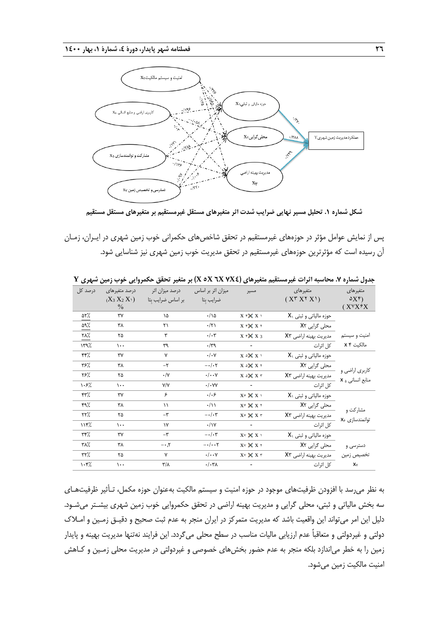

**شکل شماره .1 تحلیل مسیر نهایی ضرایب شدت اثر متغیرهای مستقل غیرمستقیم بر متغیرهای مستقل مستقیم**

پس از نمایش عوامل مؤثر در حوزههای غیرمستقیم در تحقق شاخصهای حکمرانی خوب زمین شهری در ایـران، زمـان آن رسیده است که مؤثرترین حوزههای غیرمستقیم در تحقق مدیریت خوب زمین شهری نیز شناسایی شود.

| درصد کل    | درصد متغيرهاي   | درصد میزان اثر          | میزان اثر بر اساس         | مسير                               | متغيرهاي                                | متغيرهاي                           |
|------------|-----------------|-------------------------|---------------------------|------------------------------------|-----------------------------------------|------------------------------------|
|            | $(X_3 X_2 X_1)$ | بر اساس ضرايب بِتا      | ضرايب بتا                 |                                    | $(X^{\dagger} X^{\dagger} X^{\dagger})$ | $\delta X^{\varphi}$               |
|            | $\frac{0}{0}$   |                         |                           |                                    |                                         | $(X^{\gamma}X^{\hat{\gamma}}X)$    |
| ۵۲٪        | ٣٧              | ١۵                      | ۰/۱۵                      | $X$ $\gamma$ $\times$ $X$ $\gamma$ | حوزه مالیاتی و ثبتی X                   |                                    |
| ۵۹٪        | ٣٨              | $\mathsf{r}\setminus$   | $\cdot/\tau$              | X Y X X Y                          | محلی گرایی X٢                           |                                    |
| ٢٨٪        | ۲۵              | ٣                       | $\cdot/\cdot$ ٣           | $X \times X$ $X$ 3                 | مدیریت بهینه اراضی X۳                   | امنیت و سیستم                      |
| 179%       | $\cdots$        | ٣٩                      | $\cdot$ /٣٩               |                                    | كل اثرات                                | مالكيت <b>٢ x</b>                  |
| ۴۴٪        | ٣٧              | $\mathsf{v}$            | $\cdot/\cdot$ Y           | X x X Y Y                          | $X_1$ حوزه مالیاتی و ثبتی               |                                    |
| ۳۶٪        | ٣٨              | $-\mathbf{r}$           | $-\cdot/\cdot7$           | X x X x Y                          | محلی گرایی X٢                           |                                    |
| ٪۳۶        | ۲۵              | $\cdot/\Upsilon$        | $\cdot/\cdot\cdot$ Y      | $X \circ X X$                      | مديريت بهينه اراضي X۳                   | کاربری اراضی و<br>منابع انسانی ۲ x |
| 1.5%       | $\cdots$        | Y/Y                     | $\cdot/\cdot$ YY          |                                    | كل اثرات                                |                                    |
| ۴۳%        | ٣٧              | ۶                       | .  .5                     | $X \in \bigtimes X$                | $X_1$ حوزه مالیاتی و ثبتی               |                                    |
| ۴۹٪        | ٣٨              | $\setminus$             | $\cdot/\wedge$            | $X \in X$ X X Y                    | محلی گرایی X٢                           |                                    |
| ۲۲٪        | ۲۵              | $-\tau$                 | $-\cdot/\cdot \tau$       | $X \in \times X$ X $r$             | مدیریت بهینه اراضی X۳                   | مشارکت و<br>توانمندسازی <b>x</b>   |
| 1177       | $\cdots$        | $\mathsf{v}$            | $\cdot/\gamma$            |                                    | كل اثرات                                |                                    |
| ۳۴٪        | ٣٧              | $-\tau$                 | $-\cdot/\cdot \tau$       | XY X X 1                           | $X_1$ حوزه مالیاتی و ثبتی               |                                    |
| ٣۸٪        | ٣٨              | $-\cdot 7$              | $-\cdot/\cdot \cdot \tau$ | XY X X Y                           | محلی گرایی X٢                           | دسترسی و                           |
| ۳۲٪        | ۲۵              | Y                       | $\cdot/\cdot\cdot$ Y      | $X \vee X X$                       | مدیریت بهینه اراضی X۳                   | تخصيص زمين                         |
| $\cdot$ ۴% | $\cdots$        | $\mathbf{r}/\mathbf{r}$ | $\cdot/\cdot\tau$         |                                    | كل اثرات                                | $X_V$                              |

**جدول شماره .7 محاسبه اثرات غیرمستقیم متغیرهای )4X7 X6 X5 X )بر متغیر تحقق حکمروایی خوب زمین شهری Y**

به نظر میرسد با افزودن ظرفیتهای موجود در حوزه امنیت و سیستم مالکیت بهعنوان حوزه مکمل، تـأثیر ظرفیتهـای سه بخش مالیاتی و ثبتی، محلی گرایی و مدیریت بهینه اراضی در تحقق حکمروایی خوب زمین شهری بیشـتر میشـود. دلیل این امر میتواند این واقعیت باشد که مدیریت متمرکز در ایران منجر به عدم ثبت صحیح و دقیـق زمـین و امـالك دولتی و غیردولتی و متعاقباً عدم ارزیابی مالیات مناسب در سطح محلی میگردد. این فرایند نهتنها مدیریت بهینه و پایدار زمین را به خطر می|ندازد بلکه منجر به عدم حضور بخشهای خصوصی و غیردولتی در مدیریت محلی زمـین و کـاهش امنیت مالکیت زمین میشود.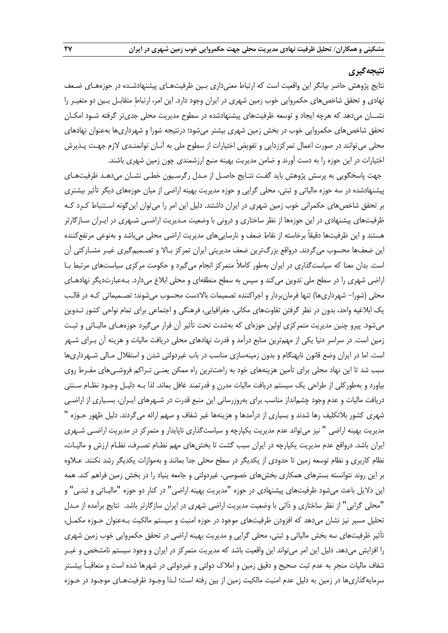# **نتیجهگیری**

نتایج پژوهش حاضر بیانگر این واقعیت است که ارتباط معنیداری بـین ظرفیتهـای پیشنهادشـده در حوزههـای ضـعف نهادی و تحقق شاخصهای حکمروایی خوب زمین شهری در ایران وجود دارد. این امر، ارتباط متقابـل بـین دو متغیـر را نشــان میدهد که هرچه ایجاد و توسعه ظرفیتهای پیشنهادشده در سطوح مدیریت محلی جدیتر گرفته شـود امکـان تحقق شاخصهای حکمروایی خوب در بخش زمین شهری بیشتر میشود؛ درنتیجه شورا و شهرداریها بهعنوان نهادهای محلی میتوانند در صورت اعمال تمرکززدایی و تفویض اختیارات از سطوح ملی به آنـان توانمنـدی الزم جهـت پـذیرش اختیارات در این حوزه را به دست آورند و ضامن مدیریت بهینه منبع ارزشمندی چون زمین شهری باشند.

جهت پاسخگویی به پرسش پژوهش باید گفـت نتـایج حاصـل از مـدل رگرسـیون خطـی نشـان میدهـد ظرفیتهـای پیشنهادشده در سه حوزه مالیاتی و ثبتی، محلی گرایی و حوزه مدیریت بهینه اراضی از میان حوزههای دیگر تأثیر بیشتری بر تحقق شاخصهای حکمرانی خوب زمین شهری در ایران داشتند. دلیل این امر را میتوان اینگونه اسـتنبا کـرد کـه ظرفیتهای پیشنهادی در این حوزهها از نظر ساختاری و درونی با وضعیت مـدیریت اراضـی شـهری در ایـران سـازگارتر هستند و این ظرفیتها دقیقاً برخاسته از نقاط ضعف و نارساییهای مدیریت اراضی محلی میباشد و بهنوعی مرتفعکننده این ضعفها محسوب میگردند. درواقع بزرگترین ضعف مدیریتی ایران تمرکز بـالا و تصـمیمگیری غیـر مشـارکتی آن است. بدان معنا که سیاستگذاری در ایران بهطور کاملاً متمرکز انجام میگیرد و حکومت مرکزی سیاستهای مرتبط بـا اراضی شهری را در سطح ملی تدوین میکند و سپس به سطح منطقهای و محلی ابالف میدارد. بـهعبارتدیگر نهادهـای محلی (شورا– شهرداریها) تنها فرمانبردار و اجراکننده تصمیمات بالادست محسوب میشوند؛ تصـمیماتی کـه در قالـب یک ابالریه واحد، بدون در نظر گرفتن تفاوتهای مکانی، جغرافیایی، فرهنگی و اجتماعی برای تمام نواحی کشور تـدوین میشود. پیرو چنین مدیریت متمرکزی اولین حوزهای که بهشدت تحت تأثیر آن قرار میگیرد حوزههـای مالیـاتی و ثبـت زمین است. در سراسر دنیا یکی از مهمترین منابع درآمد و قدرت نهادهای محلی دریافت مالیات و هزینه آن بـرای شـهر است. اما در ایران وضع قانون نابهنگام و بدون زمینهسازی مناسب در باب ریردولتی شدن و استقالل مـالی شـهرداریها سبب شد تا این نهاد محلی برای تأمین هزینههای خود به راحتترین راه ممکن یعنـی تـراکم فروشـیهای مفـر روی بیاورد و بهطورکلی از طراحی یک سیستم دریافت مالیات مدرن و قدرتمند رافل بماند. لذا بـه دلیـل وجـود نظـام سـنتی دریافت مالیات و عدم وجود چشمانداز مناسب برای بهروزرسانی این منبع قدرت در شـهرهای ایـران، بسـیاری از اراضـی شهری کشور بالتکلیف رها شدند و بسیاری از درآمدها و هزینهها ریر شفاف و مبهم ارائه میگردند. دلیل ظهور حـوزه " مدیریت بهینه اراضی " نیز میتواند عدم مدیریت یکپارچه و سیاستگذاری ناپایدار و متمرکز در مدیریت اراضـی شـهری ایران باشد. درواقع عدم مدیریت یکپارچه در ایران سبب گشت تا بخشهای مهم نظـام تصـرف، نظـام ارزش و مالیـات، نظام کاربری و نظام توسعه زمین تا حدودی از یکدیگر در سطح محلی جدا بمانند و بهموازات یکدیگر رشد نکنند. عـالوه بر این روند نتوانسته بسترهای همکاری بخشهای خصوصی، غیردولتی و جامعه بنیاد را در بخش زمین فراهم کند. همه این دلایل باعث میشود ظرفیتهای پیشنهادی در حوزه "مدیریت بهینه اراضی" در کنار دو حوزه "مالیـاتی و ثبتـی" و "محلی گرایی" از نظر ساختاری و ذاتی با وضعیت مدیریت اراضی شهری در ایران سازگارتر باشد. نتایج برآمده از مـدل تحلیل مسیر نیز نشان میدهد که افزودن ظرفیتهای موجود در حوزه امنیت و سیستم مالکیت بـهعنوان حـوزه مکمـل، تأثیر ظرفیتهای سه بخش مالیاتی و ثبتی، محلی گرایی و مدیریت بهینه اراضی در تحقق حکمروایی خوب زمین شهری را افزایش میدهد. دلیل این امر میتواند این واقعیت باشد که مدیریت متمرکز در ایران و وجود سیستم نامشخص و ریـر شفاف مالیات منجر به عدم ثبت صحیح و دقیق زمین و امالك دولتی و ریردولتی در شهرها شده است و متعاقبـاً بیشـتر سرمایهگذاریها در زمین به دلیل عدم امنیت مالکیت زمین از بین رفته است؛ لـذا وجـود ظرفیتهـای موجـود در حـوزه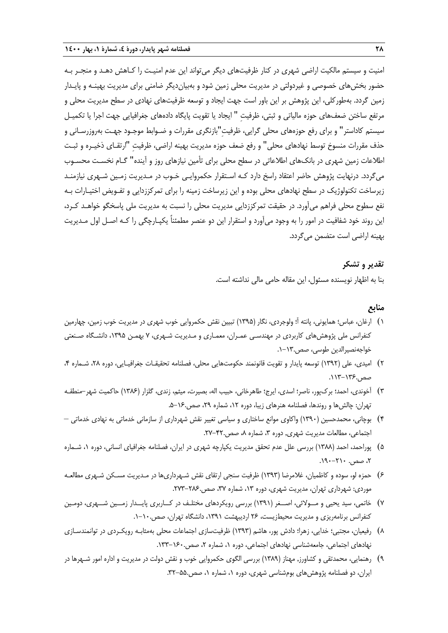امنیت و سیستم مالکیت اراضی شهری در کنار ظرفیتهای دیگر میتواند این عدم امنیـت را کـاهش دهـد و منجـر بـه حضور بخشهای خصوصی و غیردولتی در مدیریت محلی زمین شود و بهبیاندیگر ضامنی برای مدیریت بهینـه و پایـدار زمین گردد. بهطورکلی، این پژوهش بر این باور است جهت ایجاد و توسعه ظرفیتهای نهادی در سطح مدیریت محلی و مرتفع ساختن ضعفهای حوزه مالیاتی و ثبتی، ظرفیتِ " ایجاد یا تقویت پایگاه دادههای جغرافیایی جهت اجرا یا تکمیـل سیستم کاداستر" و برای رفع حوزههای محلی گرایی، ظرفیت"بازنگری مقررات و ضـوابط موجـود جهـت بهروزرسـانی و حذف مقررات منسوخ توسط نهادهای محلی" و رفع ضعف حوزه مدیریت بهینه اراضی، ظرفیت "ارتقـای ذخیـره و ثبـت اطالعات زمین شهری در بانکهای اطالعاتی در سطح محلی برای تأمین نیازهای روز و آینده" گـام نخسـت محسـوب میگردد. درنهایت پژوهش حاضر اعتقاد راسخ دارد کـه اسـتقرار حکمروایـی خـوب در مـدیریت زمـین شـهری نیازمنـد زیرساخت تکنولوژیک در سطح نهادهای محلی بوده و این زیرساخت زمینه را برای تمرکززدایی و تفـویض اختیـارات بـه نفع سطوح محلی فراهم میآورد. در حقیقت تمرکززدایی مدیریت محلی را نسبت به مدیریت ملی پاسخگو خواهـد کـرد، این روند خود شفافیت در امور را به وجود میآورد و استقرار این دو عنصر مطمئناً یکپـارچگی را کـه اصـل اول مـدیریت بهینه اراضی است متضمن میگردد.

#### **تقدیر و تشکر**

بنا به اظهار نویسنده مسئول، این مقاله حامی مالی نداشته است.

# **منابع**

- 1( ارران، عباس؛ همایونی، پانته آ؛ ولوجردی، نگار )1395( تبیین نقش حکمروایی خوب شهری در مدیریت خوب زمین، چهارمین کنفرانس ملی پژوهشهای کاربردی در مهندسـی عمـران، معمـاری و مـدیریت شـهری، 7 بهمـن ،1395 دانشـگاه صـنعتی خواجهنصیرالدین طوسی، صص.1-13.
- 2( امیدی، علی )1392( توسعه پایدار و تقویت قانونمند حکومتهایی محلی، فصلنامه تحقیقـات جغرافیـایی، دوره ،28 شـماره ،4 صص.113-136.
- 3( آخوندی، احمد؛ بركپور، ناصر؛ اسدی، ایرج؛ طاهرخانی، حبیب اله، بصیرت، میثم، زندی، گلزار )1386( حاکمیت شهر-منطقـه تهران: چالشها و روندها، فصلنامه هنرهای زیبا، دوره ،12 شماره ،29 صص.5-16.
- 4( بوچانی، محمدحسین )1390( واکاوی موانع ساختاری و سیاسی تغییر نقش شهرداری از سازمانی خدماتی به نهادی خدماتی اجتماعی، مطالعات مدیریت شهری, دوره ۳، شماره ۸، صص.۴۲-۲۷.
- 5( پوراحمد، احمد )1388( بررسی علل عدم تحقق مدیریت یکپارچه شهری در ایران، فصلنامه جغرافیای انسانی، دوره ،1 شـماره ،2 صص. .190-210
- ۶) حمزه لو، سوده و کاظمیان، غلامرضا (۱۳۹۳) ظرفیت سنجی ارتقای نقش شـهرداریها در مـدیریت مسـکن شـهری مطالعـه موردی: شهرداری تهران، مدیریت شهری، دوره ١٣، شماره ٣٧، صص.٢٨٤-٢٧٣.
- 7( خاتمی، سید یحیی و مــوالئی، اصــغر )1391( بررسی رویکردهای مختلـف در کــاربری پایــدار زمــین شــهری، دومـین کنفرانس برنامهریزی و مدیریت محیطزیست، ۲۶ اردیبهشت ۱۳۹۱، دانشگاه تهران، صص.۱۰-۱.
- 8( رفیعیان، مجتبی؛ خدایی، زهرا؛ دادش پور، هاشم )1393( ظرفیتسازی اجتماعات محلی بهمثابـه رویکـردی در توانمندسـازی نهادهای اجتماعی، جامعهشناسی نهادهای اجتماعی، دوره ۱، شماره ۲، صص.۱۶۰–۱۳۳.
- 9( رهنمایی، محمدتقی و کشاورز. مهناز )1389( بررسی الگوی حکمروایی خوب و نقش دولت در مدیریت و اداره امور شـهرها در ایران، دو فصلنامه پژوهشهای بومشناسی شهری، دوره ،1 شماره ،1 صص.32-55.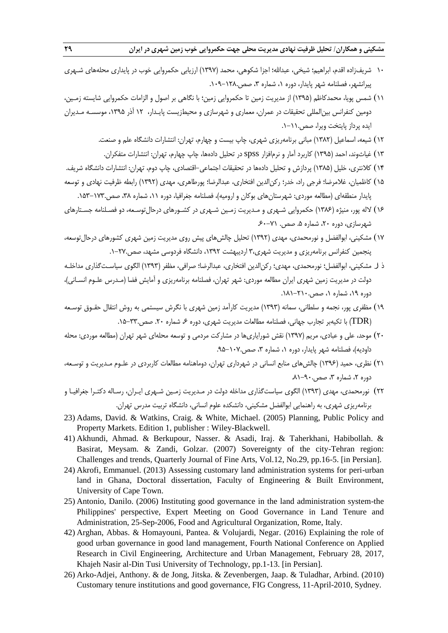- 10 شریفزاده اقدم، ابراهیم؛ شیخی، عبداهلل؛ اجزا شکوهی، محمد )1397( ارزیابی حکمروایی خوب در پایداری محلههای شـهری پیرانشهر، فصلنامه شهر پایدار، دوره ۱، شماره ۳، صص.۱۲۸-۱۰۹.
- 11( شمس پویا، محمدکاظم )1395( از مدیریت زمین تا حکمروایی زمین؛ با نگاهی بر اصول و الزامات حکمروایی شایسته زمـین، دومین کنفرانس بینالمللی تحقیقات در عمران، معماری و شهرسازی و محیطزیست پایـدار، ١٢ آذر ١٣٩۵، موسسـه مـدیران ایده پرداز پایتخت ویرا، صص.1-11.
	- 12( شیعه، اسماعیل )1382( مبانی برنامهریزی شهری، چاپ بیست و چهارم، تهران: انتشارات دانشگاه علم و صنعت.
	- 13( ریاثوند، احمد )1395( کاربرد آمار و نرمافزار spss در تحلیل دادهها، چاپ چهارم، تهران: انتشارات متفکران.
- 14( کالنتری، خلیل )1385( پردازش و تحلیل دادهها در تحقیقات اجتماعی-اقتصادی، چاپ دوم، تهران: انتشارات دانشگاه شریف.
- ۱۵) کاظمیان، غلامرضا؛ فرجی راد، خدر؛ رکن|لدین افتخاری، عبدالرضا؛ پورطاهری، مهدی (۱۳۹۲) رابطه ظرفیت نهادی و توسعه پایدار منطقهای (مطالعه موردی: شهرستانهای بوکان و ارومیه)، فصلنامه جغرافیا، دوره ۱۱، شماره ۳۸، صص.۱۷۳–۱۵۳.
- 16( الله پور، منیژه )1386( حکمروایی شـهری و مـدیریت زمـین شـهری در کشـورهای درحالتوسـعه، دو فصـلنامه جسـتارهای شهرسازی، دوره ۲۰، شماره ۵. صص. ۷۱-۶۰
- 17( مشکینی، ابوالفضل و نورمحمدی، مهدی )1392( تحلیل چالشهای پیش روی مدیریت زمین شهری کشورهای درحالتوسعه، پنجمین کنفرانس برنامهریزی و مدیریت شهری3، اردیبهشت ،1392 دانشگاه فردوسی مشهد، صص.1-27.
- ذ ار مشکینی، ابوالفضل؛ نورمحمدی، مهدی؛ رکنالدین افتخاری، عبدالرضا؛ صرافی، مظفر )1393( الگوی سیاسـتگذاری مداخلـه دولت در مدیریت زمین شهری ایران مطالعه موردی: شهر تهران، فصلنامه برنامهریزی و آمایش فضا )مـدرس علـوم انسـانی(، دوره ۱۹، شماره ۱، صص.۱۸۱-۱۸۱.
- ١٩) مظفری پور، نجمه و سلطانی، سمانه (١٣٩٣) مدیریت کارآمد زمین شهری با نگرش سیستمی به روش انتقال حقـوق توسـعه )TDR )با تکیهبر تجارب جهانی، فصلنامه مطالعات مدیریت شهری، دوره ،6 شماره .20 صص.15-33.
- ۲۰) موحد، علی و عبادی، مریم (۱۳۹۷) نقش شورایاریها در مشارکت مردمی و توسعه محلهای شهر تهران (مطالعه موردی: محله داودیه)، فصلنامه شهر پایدار، دوره ۱، شماره ۳، صص.۱۰۷–۹۵.
- 21( نظری، حمید )1396( چالشهای منابع انسانی در شهرداری تهران، دوماهنامه مطالعات کاربردی در علـوم مـدیریت و توسـعه،  $\lambda$ دوره ۲، شماره ۳، صص.۹۰–۸۱.
- 22( نورمحمدی، مهدی )1393( الگوی سیاستگذاری مداخله دولت در مـدیریت زمـین شـهری ایـران، رسـاله دکتـرا جغرافیـا و برنامهریزی شهری، به راهنمایی ابوالفضل مشکینی، دانشکده علوم انسانی، دانشگاه تربیت مدرس تهران.
- 23) Adams, David. & Watkins, Craig. & White, Michael. (2005) Planning, Public Policy and Property Markets. Edition 1, publisher : Wiley-Blackwell.
- 41) Akhundi, Ahmad. & Berkupour, Nasser. & Asadi, Iraj. & Taherkhani, Habibollah. & Basirat, Meysam. & Zandi, Golzar. (2007) Sovereignty of the city-Tehran region: Challenges and trends, Quarterly Journal of Fine Arts, Vol.12, No.29, pp.16-5. [in Persian].
- 24) Akrofi, Emmanuel. (2013) Assessing customary land administration systems for peri-urban land in Ghana, Doctoral dissertation, Faculty of Engineering & Built Environment, University of Cape Town.
- 25) Antonio, Danilo. (2006) Instituting good governance in the land administration system-the Philippines' perspective, Expert Meeting on Good Governance in Land Tenure and Administration, 25-Sep-2006, Food and Agricultural Organization, Rome, Italy.
- 42) Arghan, Abbas. & Homayouni, Pantea. & Volujardi, Negar. (2016) Explaining the role of good urban governance in good land management, Fourth National Conference on Applied Research in Civil Engineering, Architecture and Urban Management, February 28, 2017, Khajeh Nasir al-Din Tusi University of Technology, pp.1-13. [in Persian].
- 26) Arko-Adjei, Anthony. & de Jong, Jitska. & Zevenbergen, Jaap. & Tuladhar, Arbind. (2010) Customary tenure institutions and good governance, FIG Congress, 11-April-2010, Sydney.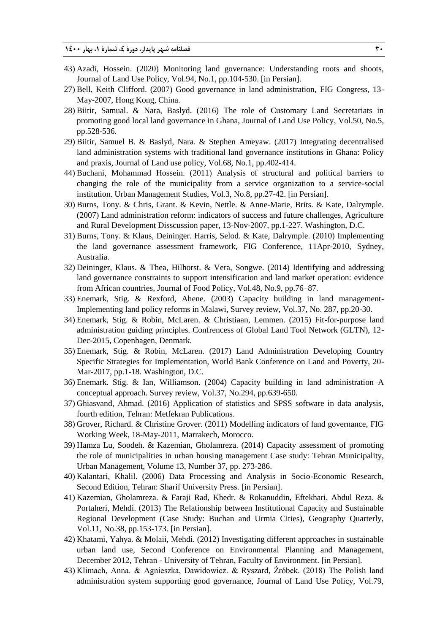- 43) Azadi, Hossein. (2020) Monitoring land governance: Understanding roots and shoots, Journal of Land Use Policy, Vol.94, No.1, pp.104-530. [in Persian].
- 27) Bell, Keith Clifford. (2007) Good governance in land administration, FIG Congress, 13- May-2007, Hong Kong, China.
- 28) Biitir, Samual. & Nara, Baslyd. (2016) The role of Customary Land Secretariats in promoting good local land governance in Ghana, Journal of Land Use Policy, Vol.50, No.5, pp.528-536.
- 29) Biitir, Samuel B. & Baslyd, Nara. & Stephen Ameyaw. (2017) Integrating decentralised land administration systems with traditional land governance institutions in Ghana: Policy and praxis, Journal of Land use policy, Vol.68, No.1, pp.402-414.
- 44) Buchani, Mohammad Hossein. (2011) Analysis of structural and political barriers to changing the role of the municipality from a service organization to a service-social institution. Urban Management Studies, Vol.3, No.8, pp.27-42. [in Persian].
- 30) Burns, Tony. & Chris, Grant. & Kevin, Nettle. & Anne-Marie, Brits. & Kate, Dalrymple. (2007) Land administration reform: indicators of success and future challenges, Agriculture and Rural Development Disscussion paper, 13-Nov-2007, pp.1-227. Washington, D.C.
- 31) Burns, Tony. & Klaus, Deininger. Harris, Selod. & Kate, Dalrymple. (2010) Implementing the land governance assessment framework, FIG Conference, 11Apr-2010, Sydney, Australia.
- 32) Deininger, Klaus. & Thea, Hilhorst. & Vera, Songwe. (2014) Identifying and addressing land governance constraints to support intensification and land market operation: evidence from African countries, Journal of Food Policy, Vol.48, No.9, pp.76–87.
- 33) Enemark, Stig. & Rexford, Ahene. (2003) Capacity building in land management-Implementing land policy reforms in Malawi, Survey review, Vol.37, No. 287, pp.20-30.
- 34) Enemark, Stig. & Robin, McLaren. & Christiaan, Lemmen. (2015) Fit-for-purpose land administration guiding principles. Confrencess of Global Land Tool Network (GLTN), 12- Dec-2015, Copenhagen, Denmark.
- 35) Enemark, Stig. & Robin, McLaren. (2017) Land Administration Developing Country Specific Strategies for Implementation, World Bank Conference on Land and Poverty, 20- Mar-2017, pp.1-18. Washington, D.C.
- 36) Enemark. Stig. & Ian, Williamson. (2004) Capacity building in land administration–A conceptual approach. Survey review, Vol.37, No.294, pp.639-650.
- 37) Ghiasvand, Ahmad. (2016) Application of statistics and SPSS software in data analysis, fourth edition, Tehran: Metfekran Publications.
- 38) Grover, Richard. & Christine Grover. (2011) Modelling indicators of land governance, FIG Working Week, 18-May-2011, Marrakech, Morocco.
- 39) Hamza Lu, Soodeh. & Kazemian, Gholamreza. (2014) Capacity assessment of promoting the role of municipalities in urban housing management Case study: Tehran Municipality, Urban Management, Volume 13, Number 37, pp. 273-286.
- 40) Kalantari, Khalil. (2006) Data Processing and Analysis in Socio-Economic Research, Second Edition, Tehran: Sharif University Press. [in Persian].
- 41) Kazemian, Gholamreza. & Faraji Rad, Khedr. & Rokanuddin, Eftekhari, Abdul Reza. & Portaheri, Mehdi. (2013) The Relationship between Institutional Capacity and Sustainable Regional Development (Case Study: Buchan and Urmia Cities), Geography Quarterly, Vol.11, No.38, pp.153-173. [in Persian].
- 42) Khatami, Yahya. & Molaii, Mehdi. (2012) Investigating different approaches in sustainable urban land use, Second Conference on Environmental Planning and Management, December 2012, Tehran - University of Tehran, Faculty of Environment. [in Persian].
- 43) Klimach, Anna. & Agnieszka, Dawidowicz. & Ryszard, Źróbek. (2018) The Polish land administration system supporting good governance, Journal of Land Use Policy, Vol.79,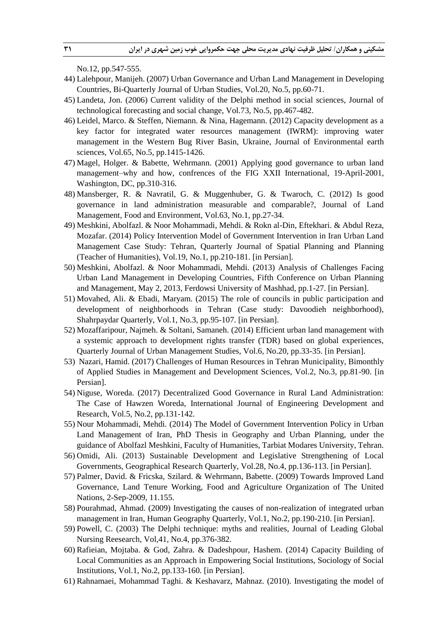No.12, pp.547-555.

- 44) Lalehpour, Manijeh. (2007) Urban Governance and Urban Land Management in Developing Countries, Bi-Quarterly Journal of Urban Studies, Vol.20, No.5, pp.60-71.
- 45) Landeta, Jon. (2006) Current validity of the Delphi method in social sciences, Journal of technological forecasting and social change, Vol.73, No.5, pp.467-482.
- 46) Leidel, Marco. & Steffen, Niemann. & Nina, Hagemann. (2012) Capacity development as a key factor for integrated water resources management (IWRM): improving water management in the Western Bug River Basin, Ukraine, Journal of Environmental earth sciences, Vol.65, No.5, pp.1415-1426.
- 47) Magel, Holger. & Babette, Wehrmann. (2001) Applying good governance to urban land management–why and how, confrences of the FIG XXII International, 19-April-2001, Washington, DC, pp.310-316.
- 48) Mansberger, R. & Navratil, G. & Muggenhuber, G. & Twaroch, C. (2012) Is good governance in land administration measurable and comparable?, Journal of Land Management, Food and Environment, Vol.63, No.1, pp.27-34.
- 49) Meshkini, Abolfazl. & Noor Mohammadi, Mehdi. & Rokn al-Din, Eftekhari. & Abdul Reza, Mozafar. (2014) Policy Intervention Model of Government Intervention in Iran Urban Land Management Case Study: Tehran, Quarterly Journal of Spatial Planning and Planning (Teacher of Humanities), Vol.19, No.1, pp.210-181. [in Persian].
- 50) Meshkini, Abolfazl. & Noor Mohammadi, Mehdi. (2013) Analysis of Challenges Facing Urban Land Management in Developing Countries, Fifth Conference on Urban Planning and Management, May 2, 2013, Ferdowsi University of Mashhad, pp.1-27. [in Persian].
- 51) Movahed, Ali. & Ebadi, Maryam. (2015) The role of councils in public participation and development of neighborhoods in Tehran (Case study: Davoodieh neighborhood), Shahrpaydar Quarterly, Vol.1, No.3, pp.95-107. [in Persian].
- 52) Mozaffaripour, Najmeh. & Soltani, Samaneh. (2014) Efficient urban land management with a systemic approach to development rights transfer (TDR) based on global experiences, Quarterly Journal of Urban Management Studies, Vol.6, No.20, pp.33-35. [in Persian].
- 53) Nazari, Hamid. (2017) Challenges of Human Resources in Tehran Municipality, Bimonthly of Applied Studies in Management and Development Sciences, Vol.2, No.3, pp.81-90. [in Persian].
- 54) Niguse, Woreda. (2017) Decentralized Good Governance in Rural Land Administration: The Case of Hawzen Woreda, International Journal of Engineering Development and Research, Vol.5, No.2, pp.131-142.
- 55) Nour Mohammadi, Mehdi. (2014) The Model of Government Intervention Policy in Urban Land Management of Iran, PhD Thesis in Geography and Urban Planning, under the guidance of Abolfazl Meshkini, Faculty of Humanities, Tarbiat Modares University, Tehran.
- 56) Omidi, Ali. (2013) Sustainable Development and Legislative Strengthening of Local Governments, Geographical Research Quarterly, Vol.28, No.4, pp.136-113. [in Persian].
- 57) Palmer, David. & Fricska, Szilard. & Wehrmann, Babette. (2009) Towards Improved Land Governance, Land Tenure Working, Food and Agriculture Organization of The United Nations, 2-Sep-2009, 11.155.
- 58) Pourahmad, Ahmad. (2009) Investigating the causes of non-realization of integrated urban management in Iran, Human Geography Quarterly, Vol.1, No.2, pp.190-210. [in Persian].
- 59) Powell, C. (2003) The Delphi technique: myths and realities, Journal of Leading Global Nursing Reesearch, Vol,41, No.4, pp.376-382.
- 60) Rafieian, Mojtaba. & God, Zahra. & Dadeshpour, Hashem. (2014) Capacity Building of Local Communities as an Approach in Empowering Social Institutions, Sociology of Social Institutions, Vol.1, No.2, pp.133-160. [in Persian].
- 61) Rahnamaei, Mohammad Taghi. & Keshavarz, Mahnaz. (2010). Investigating the model of